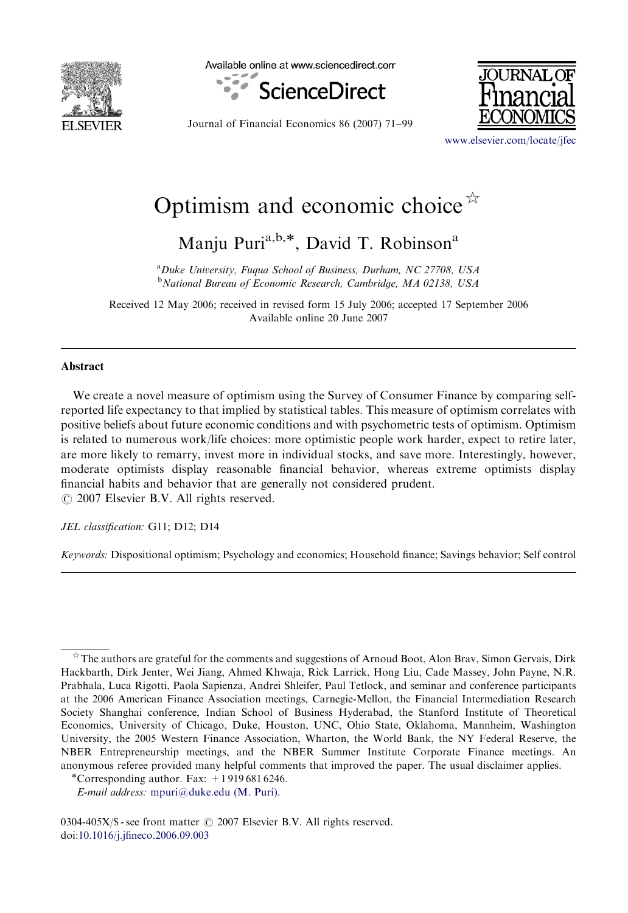

Available online at www.sciencedirect.com





Journal of Financial Economics 86 (2007) 71–99

<www.elsevier.com/locate/jfec>

# Optimism and economic choice  $\overrightarrow{r}$

Manju Puri<sup>a,b,\*</sup>, David T. Robinson<sup>a</sup>

<sup>a</sup>Duke University, Fuqua School of Business, Durham, NC 27708, USA <sup>b</sup>National Bureau of Economic Research, Cambridge, MA 02138, USA

Received 12 May 2006; received in revised form 15 July 2006; accepted 17 September 2006 Available online 20 June 2007

#### **Abstract**

We create a novel measure of optimism using the Survey of Consumer Finance by comparing selfreported life expectancy to that implied by statistical tables. This measure of optimism correlates with positive beliefs about future economic conditions and with psychometric tests of optimism. Optimism is related to numerous work/life choices: more optimistic people work harder, expect to retire later, are more likely to remarry, invest more in individual stocks, and save more. Interestingly, however, moderate optimists display reasonable financial behavior, whereas extreme optimists display financial habits and behavior that are generally not considered prudent.  $\odot$  2007 Elsevier B.V. All rights reserved.

JEL classification: G11; D12; D14

Keywords: Dispositional optimism; Psychology and economics; Household finance; Savings behavior; Self control

 $\hat{\tau}$  The authors are grateful for the comments and suggestions of Arnoud Boot, Alon Brav, Simon Gervais, Dirk Hackbarth, Dirk Jenter, Wei Jiang, Ahmed Khwaja, Rick Larrick, Hong Liu, Cade Massey, John Payne, N.R. Prabhala, Luca Rigotti, Paola Sapienza, Andrei Shleifer, Paul Tetlock, and seminar and conference participants at the 2006 American Finance Association meetings, Carnegie-Mellon, the Financial Intermediation Research Society Shanghai conference, Indian School of Business Hyderabad, the Stanford Institute of Theoretical Economics, University of Chicago, Duke, Houston, UNC, Ohio State, Oklahoma, Mannheim, Washington University, the 2005 Western Finance Association, Wharton, the World Bank, the NY Federal Reserve, the NBER Entrepreneurship meetings, and the NBER Summer Institute Corporate Finance meetings. An anonymous referee provided many helpful comments that improved the paper. The usual disclaimer applies.

<sup>\*</sup>Corresponding author. Fax:  $+19196816246$ .

E-mail address: [mpuri@duke.edu \(M. Puri\).](mailto:mpuri@duke.edu)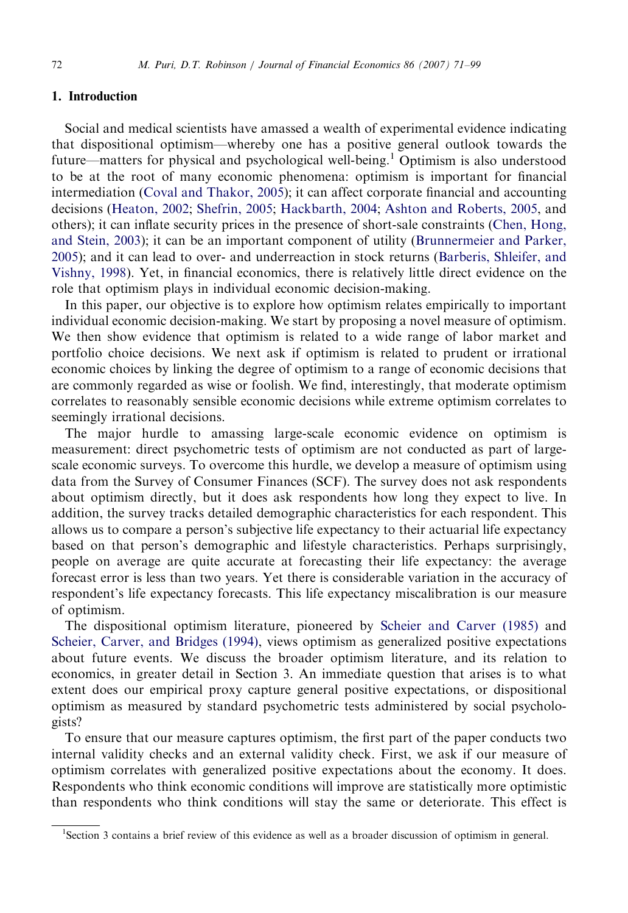# 1. Introduction

Social and medical scientists have amassed a wealth of experimental evidence indicating that dispositional optimism—whereby one has a positive general outlook towards the future—matters for physical and psychological well-being.<sup>1</sup> Optimism is also understood to be at the root of many economic phenomena: optimism is important for financial intermediation [\(Coval and Thakor, 2005\)](#page-27-0); it can affect corporate financial and accounting decisions [\(Heaton, 2002;](#page-27-0) [Shefrin, 2005](#page-28-0); [Hackbarth, 2004](#page-27-0); [Ashton and Roberts, 2005,](#page-26-0) and others); it can inflate security prices in the presence of short-sale constraints [\(Chen, Hong,](#page-27-0) [and Stein, 2003\)](#page-27-0); it can be an important component of utility ([Brunnermeier and Parker,](#page-27-0) [2005](#page-27-0)); and it can lead to over- and underreaction in stock returns ([Barberis, Shleifer, and](#page-26-0) [Vishny, 1998](#page-26-0)). Yet, in financial economics, there is relatively little direct evidence on the role that optimism plays in individual economic decision-making.

In this paper, our objective is to explore how optimism relates empirically to important individual economic decision-making. We start by proposing a novel measure of optimism. We then show evidence that optimism is related to a wide range of labor market and portfolio choice decisions. We next ask if optimism is related to prudent or irrational economic choices by linking the degree of optimism to a range of economic decisions that are commonly regarded as wise or foolish. We find, interestingly, that moderate optimism correlates to reasonably sensible economic decisions while extreme optimism correlates to seemingly irrational decisions.

The major hurdle to amassing large-scale economic evidence on optimism is measurement: direct psychometric tests of optimism are not conducted as part of largescale economic surveys. To overcome this hurdle, we develop a measure of optimism using data from the Survey of Consumer Finances (SCF). The survey does not ask respondents about optimism directly, but it does ask respondents how long they expect to live. In addition, the survey tracks detailed demographic characteristics for each respondent. This allows us to compare a person's subjective life expectancy to their actuarial life expectancy based on that person's demographic and lifestyle characteristics. Perhaps surprisingly, people on average are quite accurate at forecasting their life expectancy: the average forecast error is less than two years. Yet there is considerable variation in the accuracy of respondent's life expectancy forecasts. This life expectancy miscalibration is our measure of optimism.

The dispositional optimism literature, pioneered by [Scheier and Carver \(1985\)](#page-27-0) and [Scheier, Carver, and Bridges \(1994\),](#page-27-0) views optimism as generalized positive expectations about future events. We discuss the broader optimism literature, and its relation to economics, in greater detail in Section 3. An immediate question that arises is to what extent does our empirical proxy capture general positive expectations, or dispositional optimism as measured by standard psychometric tests administered by social psychologists?

To ensure that our measure captures optimism, the first part of the paper conducts two internal validity checks and an external validity check. First, we ask if our measure of optimism correlates with generalized positive expectations about the economy. It does. Respondents who think economic conditions will improve are statistically more optimistic than respondents who think conditions will stay the same or deteriorate. This effect is

<sup>&</sup>lt;sup>1</sup>Section 3 contains a brief review of this evidence as well as a broader discussion of optimism in general.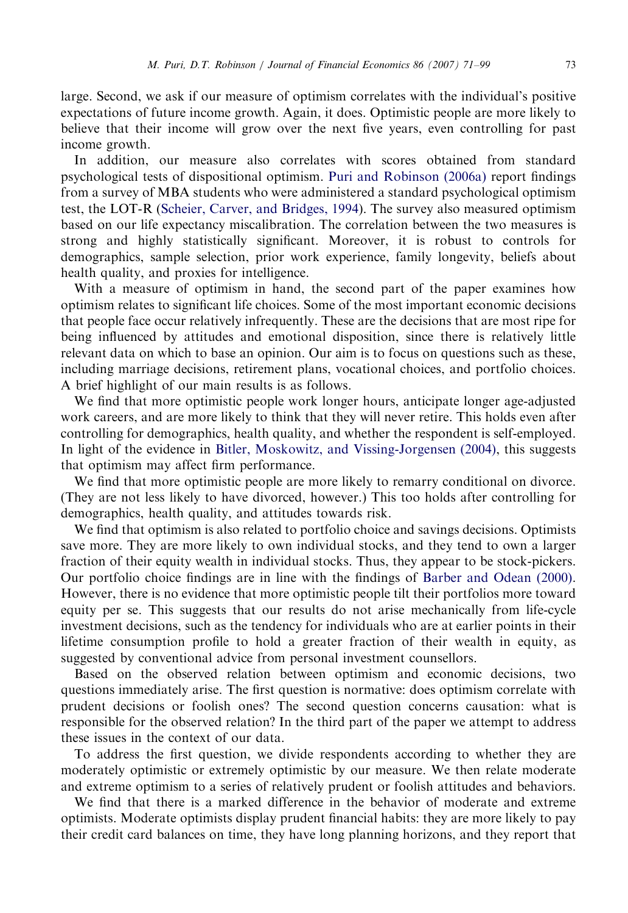large. Second, we ask if our measure of optimism correlates with the individual's positive expectations of future income growth. Again, it does. Optimistic people are more likely to believe that their income will grow over the next five years, even controlling for past income growth.

In addition, our measure also correlates with scores obtained from standard psychological tests of dispositional optimism. [Puri and Robinson \(2006a\)](#page-27-0) report findings from a survey of MBA students who were administered a standard psychological optimism test, the LOT-R ([Scheier, Carver, and Bridges, 1994](#page-27-0)). The survey also measured optimism based on our life expectancy miscalibration. The correlation between the two measures is strong and highly statistically significant. Moreover, it is robust to controls for demographics, sample selection, prior work experience, family longevity, beliefs about health quality, and proxies for intelligence.

With a measure of optimism in hand, the second part of the paper examines how optimism relates to significant life choices. Some of the most important economic decisions that people face occur relatively infrequently. These are the decisions that are most ripe for being influenced by attitudes and emotional disposition, since there is relatively little relevant data on which to base an opinion. Our aim is to focus on questions such as these, including marriage decisions, retirement plans, vocational choices, and portfolio choices. A brief highlight of our main results is as follows.

We find that more optimistic people work longer hours, anticipate longer age-adjusted work careers, and are more likely to think that they will never retire. This holds even after controlling for demographics, health quality, and whether the respondent is self-employed. In light of the evidence in [Bitler, Moskowitz, and Vissing-Jorgensen \(2004\),](#page-27-0) this suggests that optimism may affect firm performance.

We find that more optimistic people are more likely to remarry conditional on divorce. (They are not less likely to have divorced, however.) This too holds after controlling for demographics, health quality, and attitudes towards risk.

We find that optimism is also related to portfolio choice and savings decisions. Optimists save more. They are more likely to own individual stocks, and they tend to own a larger fraction of their equity wealth in individual stocks. Thus, they appear to be stock-pickers. Our portfolio choice findings are in line with the findings of [Barber and Odean \(2000\).](#page-26-0) However, there is no evidence that more optimistic people tilt their portfolios more toward equity per se. This suggests that our results do not arise mechanically from life-cycle investment decisions, such as the tendency for individuals who are at earlier points in their lifetime consumption profile to hold a greater fraction of their wealth in equity, as suggested by conventional advice from personal investment counsellors.

Based on the observed relation between optimism and economic decisions, two questions immediately arise. The first question is normative: does optimism correlate with prudent decisions or foolish ones? The second question concerns causation: what is responsible for the observed relation? In the third part of the paper we attempt to address these issues in the context of our data.

To address the first question, we divide respondents according to whether they are moderately optimistic or extremely optimistic by our measure. We then relate moderate and extreme optimism to a series of relatively prudent or foolish attitudes and behaviors.

We find that there is a marked difference in the behavior of moderate and extreme optimists. Moderate optimists display prudent financial habits: they are more likely to pay their credit card balances on time, they have long planning horizons, and they report that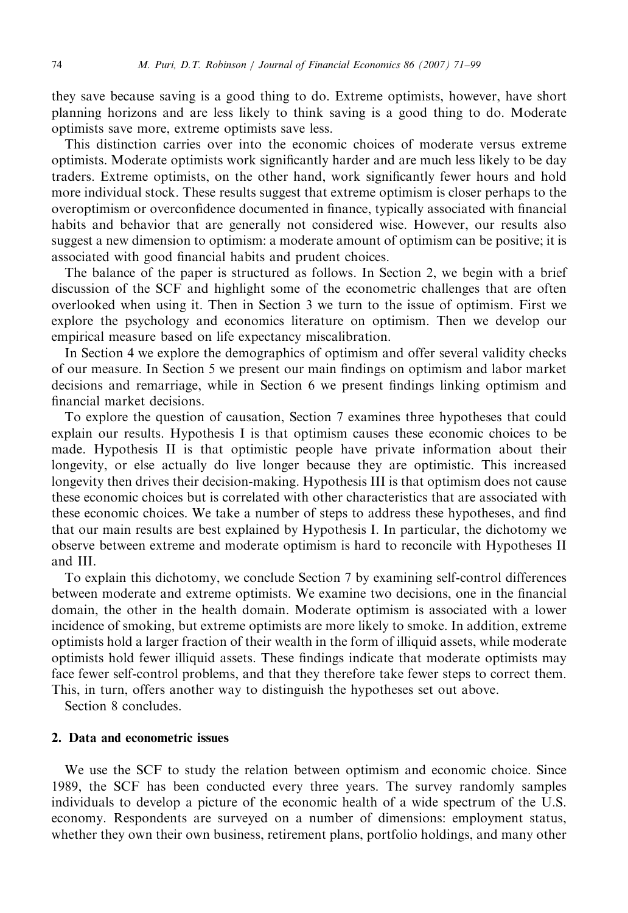they save because saving is a good thing to do. Extreme optimists, however, have short planning horizons and are less likely to think saving is a good thing to do. Moderate optimists save more, extreme optimists save less.

This distinction carries over into the economic choices of moderate versus extreme optimists. Moderate optimists work significantly harder and are much less likely to be day traders. Extreme optimists, on the other hand, work significantly fewer hours and hold more individual stock. These results suggest that extreme optimism is closer perhaps to the overoptimism or overconfidence documented in finance, typically associated with financial habits and behavior that are generally not considered wise. However, our results also suggest a new dimension to optimism: a moderate amount of optimism can be positive; it is associated with good financial habits and prudent choices.

The balance of the paper is structured as follows. In Section 2, we begin with a brief discussion of the SCF and highlight some of the econometric challenges that are often overlooked when using it. Then in Section 3 we turn to the issue of optimism. First we explore the psychology and economics literature on optimism. Then we develop our empirical measure based on life expectancy miscalibration.

In Section 4 we explore the demographics of optimism and offer several validity checks of our measure. In Section 5 we present our main findings on optimism and labor market decisions and remarriage, while in Section 6 we present findings linking optimism and financial market decisions.

To explore the question of causation, Section 7 examines three hypotheses that could explain our results. Hypothesis I is that optimism causes these economic choices to be made. Hypothesis II is that optimistic people have private information about their longevity, or else actually do live longer because they are optimistic. This increased longevity then drives their decision-making. Hypothesis III is that optimism does not cause these economic choices but is correlated with other characteristics that are associated with these economic choices. We take a number of steps to address these hypotheses, and find that our main results are best explained by Hypothesis I. In particular, the dichotomy we observe between extreme and moderate optimism is hard to reconcile with Hypotheses II and III.

To explain this dichotomy, we conclude Section 7 by examining self-control differences between moderate and extreme optimists. We examine two decisions, one in the financial domain, the other in the health domain. Moderate optimism is associated with a lower incidence of smoking, but extreme optimists are more likely to smoke. In addition, extreme optimists hold a larger fraction of their wealth in the form of illiquid assets, while moderate optimists hold fewer illiquid assets. These findings indicate that moderate optimists may face fewer self-control problems, and that they therefore take fewer steps to correct them. This, in turn, offers another way to distinguish the hypotheses set out above.

Section 8 concludes.

# 2. Data and econometric issues

We use the SCF to study the relation between optimism and economic choice. Since 1989, the SCF has been conducted every three years. The survey randomly samples individuals to develop a picture of the economic health of a wide spectrum of the U.S. economy. Respondents are surveyed on a number of dimensions: employment status, whether they own their own business, retirement plans, portfolio holdings, and many other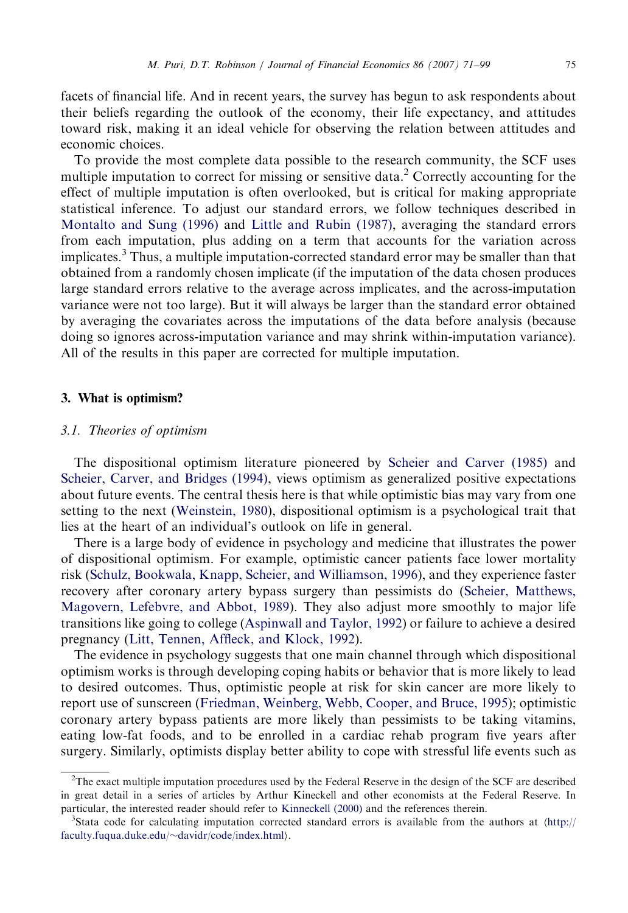facets of financial life. And in recent years, the survey has begun to ask respondents about their beliefs regarding the outlook of the economy, their life expectancy, and attitudes toward risk, making it an ideal vehicle for observing the relation between attitudes and economic choices.

To provide the most complete data possible to the research community, the SCF uses multiple imputation to correct for missing or sensitive data.<sup>2</sup> Correctly accounting for the effect of multiple imputation is often overlooked, but is critical for making appropriate statistical inference. To adjust our standard errors, we follow techniques described in [Montalto and Sung \(1996\)](#page-27-0) and [Little and Rubin \(1987\)](#page-27-0), averaging the standard errors from each imputation, plus adding on a term that accounts for the variation across implicates.<sup>3</sup> Thus, a multiple imputation-corrected standard error may be smaller than that obtained from a randomly chosen implicate (if the imputation of the data chosen produces large standard errors relative to the average across implicates, and the across-imputation variance were not too large). But it will always be larger than the standard error obtained by averaging the covariates across the imputations of the data before analysis (because doing so ignores across-imputation variance and may shrink within-imputation variance). All of the results in this paper are corrected for multiple imputation.

# 3. What is optimism?

## 3.1. Theories of optimism

The dispositional optimism literature pioneered by [Scheier and Carver \(1985\)](#page-27-0) and [Scheier, Carver, and Bridges \(1994\),](#page-27-0) views optimism as generalized positive expectations about future events. The central thesis here is that while optimistic bias may vary from one setting to the next [\(Weinstein, 1980\)](#page-28-0), dispositional optimism is a psychological trait that lies at the heart of an individual's outlook on life in general.

There is a large body of evidence in psychology and medicine that illustrates the power of dispositional optimism. For example, optimistic cancer patients face lower mortality risk ([Schulz, Bookwala, Knapp, Scheier, and Williamson, 1996](#page-27-0)), and they experience faster recovery after coronary artery bypass surgery than pessimists do ([Scheier, Matthews,](#page-27-0) [Magovern, Lefebvre, and Abbot, 1989\)](#page-27-0). They also adjust more smoothly to major life transitions like going to college [\(Aspinwall and Taylor, 1992\)](#page-26-0) or failure to achieve a desired pregnancy [\(Litt, Tennen, Affleck, and Klock, 1992](#page-27-0)).

The evidence in psychology suggests that one main channel through which dispositional optimism works is through developing coping habits or behavior that is more likely to lead to desired outcomes. Thus, optimistic people at risk for skin cancer are more likely to report use of sunscreen ([Friedman, Weinberg, Webb, Cooper, and Bruce, 1995\)](#page-27-0); optimistic coronary artery bypass patients are more likely than pessimists to be taking vitamins, eating low-fat foods, and to be enrolled in a cardiac rehab program five years after surgery. Similarly, optimists display better ability to cope with stressful life events such as

<sup>&</sup>lt;sup>2</sup>The exact multiple imputation procedures used by the Federal Reserve in the design of the SCF are described in great detail in a series of articles by Arthur Kineckell and other economists at the Federal Reserve. In particular, the interested reader should refer to [Kinneckell \(2000\)](#page-27-0) and the references therein.

Stata code for calculating imputation corrected standard errors is available from the authors at h[http://](http://faculty.fuqua.duke.edu/davidr/code/index.html) [faculty.fuqua.duke.edu/](http://faculty.fuqua.duke.edu/davidr/code/index.html)~[davidr/code/index.html](http://faculty.fuqua.duke.edu/davidr/code/index.html)).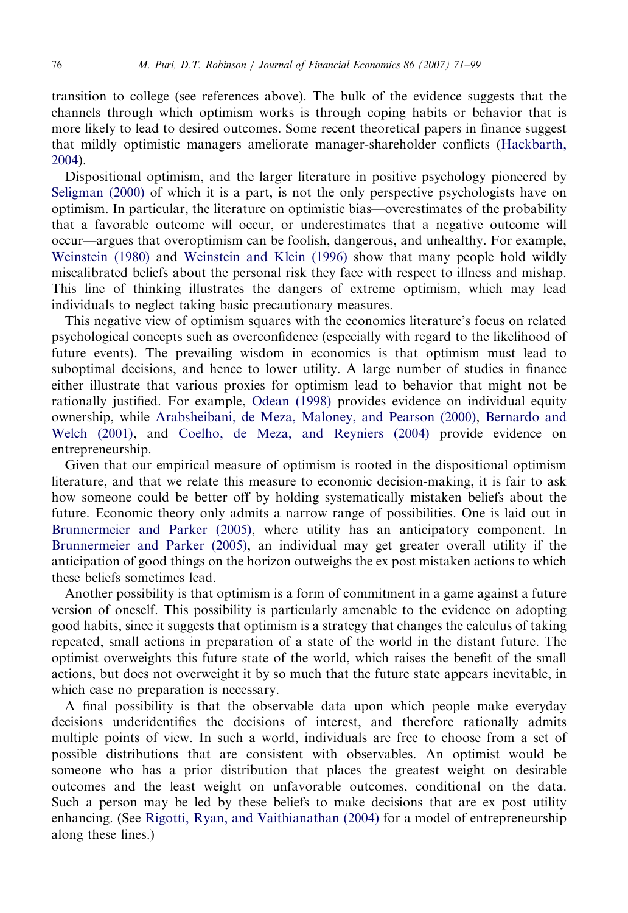transition to college (see references above). The bulk of the evidence suggests that the channels through which optimism works is through coping habits or behavior that is more likely to lead to desired outcomes. Some recent theoretical papers in finance suggest that mildly optimistic managers ameliorate manager-shareholder conflicts [\(Hackbarth,](#page-27-0) [2004](#page-27-0)).

Dispositional optimism, and the larger literature in positive psychology pioneered by [Seligman \(2000\)](#page-27-0) of which it is a part, is not the only perspective psychologists have on optimism. In particular, the literature on optimistic bias—overestimates of the probability that a favorable outcome will occur, or underestimates that a negative outcome will occur—argues that overoptimism can be foolish, dangerous, and unhealthy. For example, [Weinstein \(1980\)](#page-28-0) and [Weinstein and Klein \(1996\)](#page-28-0) show that many people hold wildly miscalibrated beliefs about the personal risk they face with respect to illness and mishap. This line of thinking illustrates the dangers of extreme optimism, which may lead individuals to neglect taking basic precautionary measures.

This negative view of optimism squares with the economics literature's focus on related psychological concepts such as overconfidence (especially with regard to the likelihood of future events). The prevailing wisdom in economics is that optimism must lead to suboptimal decisions, and hence to lower utility. A large number of studies in finance either illustrate that various proxies for optimism lead to behavior that might not be rationally justified. For example, [Odean \(1998\)](#page-27-0) provides evidence on individual equity ownership, while [Arabsheibani, de Meza, Maloney, and Pearson \(2000\),](#page-26-0) [Bernardo and](#page-26-0) [Welch \(2001\)](#page-26-0), and [Coelho, de Meza, and Reyniers \(2004\)](#page-27-0) provide evidence on entrepreneurship.

Given that our empirical measure of optimism is rooted in the dispositional optimism literature, and that we relate this measure to economic decision-making, it is fair to ask how someone could be better off by holding systematically mistaken beliefs about the future. Economic theory only admits a narrow range of possibilities. One is laid out in [Brunnermeier and Parker \(2005\),](#page-27-0) where utility has an anticipatory component. In [Brunnermeier and Parker \(2005\)](#page-27-0), an individual may get greater overall utility if the anticipation of good things on the horizon outweighs the ex post mistaken actions to which these beliefs sometimes lead.

Another possibility is that optimism is a form of commitment in a game against a future version of oneself. This possibility is particularly amenable to the evidence on adopting good habits, since it suggests that optimism is a strategy that changes the calculus of taking repeated, small actions in preparation of a state of the world in the distant future. The optimist overweights this future state of the world, which raises the benefit of the small actions, but does not overweight it by so much that the future state appears inevitable, in which case no preparation is necessary.

A final possibility is that the observable data upon which people make everyday decisions underidentifies the decisions of interest, and therefore rationally admits multiple points of view. In such a world, individuals are free to choose from a set of possible distributions that are consistent with observables. An optimist would be someone who has a prior distribution that places the greatest weight on desirable outcomes and the least weight on unfavorable outcomes, conditional on the data. Such a person may be led by these beliefs to make decisions that are ex post utility enhancing. (See [Rigotti, Ryan, and Vaithianathan \(2004\)](#page-27-0) for a model of entrepreneurship along these lines.)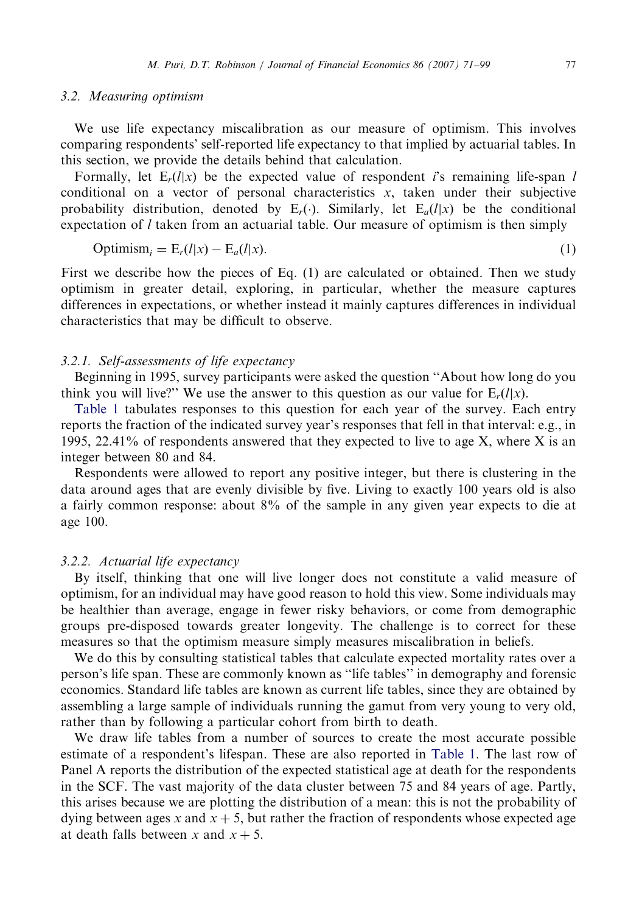#### 3.2. Measuring optimism

We use life expectancy miscalibration as our measure of optimism. This involves comparing respondents' self-reported life expectancy to that implied by actuarial tables. In this section, we provide the details behind that calculation.

Formally, let  $E_r(l|x)$  be the expected value of respondent is remaining life-span l conditional on a vector of personal characteristics x, taken under their subjective probability distribution, denoted by  $E_r(\cdot)$ . Similarly, let  $E_a(l|x)$  be the conditional expectation of l taken from an actuarial table. Our measure of optimism is then simply

Optimism<sub>i</sub> = 
$$
E_r(l|x) - E_a(l|x)
$$
. (1)

First we describe how the pieces of Eq. (1) are calculated or obtained. Then we study optimism in greater detail, exploring, in particular, whether the measure captures differences in expectations, or whether instead it mainly captures differences in individual characteristics that may be difficult to observe.

# 3.2.1. Self-assessments of life expectancy

Beginning in 1995, survey participants were asked the question ''About how long do you think you will live?" We use the answer to this question as our value for  $E_r(l|x)$ .

[Table 1](#page-7-0) tabulates responses to this question for each year of the survey. Each entry reports the fraction of the indicated survey year's responses that fell in that interval: e.g., in 1995, 22.41% of respondents answered that they expected to live to age X, where X is an integer between 80 and 84.

Respondents were allowed to report any positive integer, but there is clustering in the data around ages that are evenly divisible by five. Living to exactly 100 years old is also a fairly common response: about 8% of the sample in any given year expects to die at age 100.

## 3.2.2. Actuarial life expectancy

By itself, thinking that one will live longer does not constitute a valid measure of optimism, for an individual may have good reason to hold this view. Some individuals may be healthier than average, engage in fewer risky behaviors, or come from demographic groups pre-disposed towards greater longevity. The challenge is to correct for these measures so that the optimism measure simply measures miscalibration in beliefs.

We do this by consulting statistical tables that calculate expected mortality rates over a person's life span. These are commonly known as ''life tables'' in demography and forensic economics. Standard life tables are known as current life tables, since they are obtained by assembling a large sample of individuals running the gamut from very young to very old, rather than by following a particular cohort from birth to death.

We draw life tables from a number of sources to create the most accurate possible estimate of a respondent's lifespan. These are also reported in [Table 1.](#page-7-0) The last row of Panel A reports the distribution of the expected statistical age at death for the respondents in the SCF. The vast majority of the data cluster between 75 and 84 years of age. Partly, this arises because we are plotting the distribution of a mean: this is not the probability of dying between ages x and  $x + 5$ , but rather the fraction of respondents whose expected age at death falls between x and  $x + 5$ .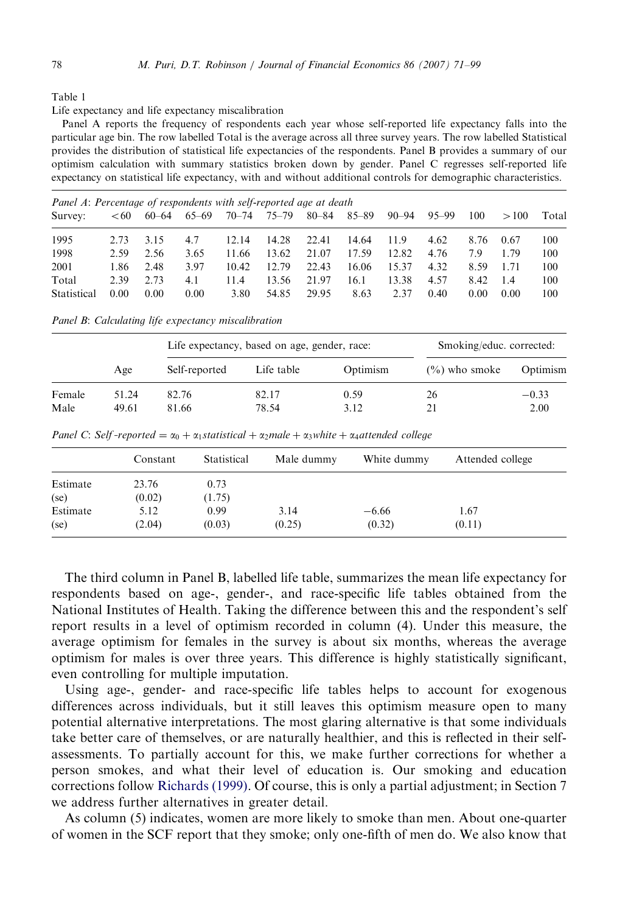<span id="page-7-0"></span>Life expectancy and life expectancy miscalibration

Panel A reports the frequency of respondents each year whose self-reported life expectancy falls into the particular age bin. The row labelled Total is the average across all three survey years. The row labelled Statistical provides the distribution of statistical life expectancies of the respondents. Panel B provides a summary of our optimism calculation with summary statistics broken down by gender. Panel C regresses self-reported life expectancy on statistical life expectancy, with and without additional controls for demographic characteristics.

| Panel A: Percentage of respondents with self-reported age at death |      |       |       |       |       |           |       |           |       |      |      |       |
|--------------------------------------------------------------------|------|-------|-------|-------|-------|-----------|-------|-----------|-------|------|------|-------|
| Survey:                                                            | <60  | 60–64 | 65–69 | 70–74 | 75–79 | $80 - 84$ | 85–89 | $90 - 94$ | 95–99 | 100  | >100 | Total |
| 1995                                                               | 2.73 | 3.15  | 4.7   | 12.14 | 14.28 | 22.41     | 14.64 | 11.9      | 4.62  | 8.76 | 0.67 | 100   |
| 1998                                                               | 2.59 | 2.56  | 3.65  | 11.66 | 13.62 | 21.07     | 17.59 | 12.82     | 4.76  | 79   | 1.79 | 100   |
| 2001                                                               | 1.86 | 2.48  | 3.97  | 10.42 | 12.79 | 22.43     | 16.06 | 15.37     | 4.32  | 8.59 | 1.71 | 100   |
| Total                                                              | 2.39 | 2.73  | 4.1   | 11.4  | 13.56 | 21.97     | 16.1  | 13.38     | 4.57  | 8.42 | -14  | 100   |
| Statistical                                                        | 0.00 | 0.00  | 0.00  | 3.80  | 54.85 | 29.95     | 8.63  | 2.37      | 0.40  | 0.00 | 0.00 | 100   |

Panel B: Calculating life expectancy miscalibration

|        |       | Life expectancy, based on age, gender, race: |            |          | Smoking/educ. corrected: |          |  |
|--------|-------|----------------------------------------------|------------|----------|--------------------------|----------|--|
|        | Age   | Self-reported                                | Life table | Optimism | $(\%)$ who smoke         | Optimism |  |
| Female | 51.24 | 82.76                                        | 82.17      | 0.59     | 26                       | $-0.33$  |  |
| Male   | 49.61 | 81.66                                        | 78.54      | 3.12     | 21                       | 2.00     |  |

Panel C: Self-reported =  $\alpha_0 + \alpha_1$ statistical +  $\alpha_2$ male +  $\alpha_3$ white +  $\alpha_4$ attended college

|          | Constant | Statistical | Male dummy | White dummy | Attended college |
|----------|----------|-------------|------------|-------------|------------------|
| Estimate | 23.76    | 0.73        |            |             |                  |
| (se)     | (0.02)   | (1.75)      |            |             |                  |
| Estimate | 5.12     | 0.99        | 3.14       | $-6.66$     | 1.67             |
| (se)     | (2.04)   | (0.03)      | (0.25)     | (0.32)      | (0.11)           |

The third column in Panel B, labelled life table, summarizes the mean life expectancy for respondents based on age-, gender-, and race-specific life tables obtained from the National Institutes of Health. Taking the difference between this and the respondent's self report results in a level of optimism recorded in column (4). Under this measure, the average optimism for females in the survey is about six months, whereas the average optimism for males is over three years. This difference is highly statistically significant, even controlling for multiple imputation.

Using age-, gender- and race-specific life tables helps to account for exogenous differences across individuals, but it still leaves this optimism measure open to many potential alternative interpretations. The most glaring alternative is that some individuals take better care of themselves, or are naturally healthier, and this is reflected in their selfassessments. To partially account for this, we make further corrections for whether a person smokes, and what their level of education is. Our smoking and education corrections follow [Richards \(1999\).](#page-27-0) Of course, this is only a partial adjustment; in Section 7 we address further alternatives in greater detail.

As column (5) indicates, women are more likely to smoke than men. About one-quarter of women in the SCF report that they smoke; only one-fifth of men do. We also know that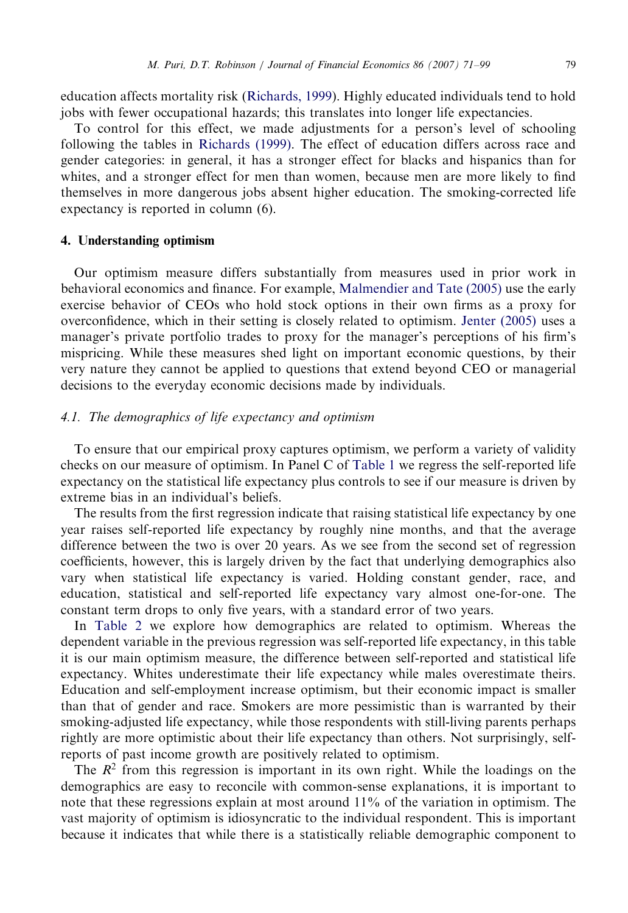education affects mortality risk ([Richards, 1999](#page-27-0)). Highly educated individuals tend to hold jobs with fewer occupational hazards; this translates into longer life expectancies.

To control for this effect, we made adjustments for a person's level of schooling following the tables in [Richards \(1999\)](#page-27-0). The effect of education differs across race and gender categories: in general, it has a stronger effect for blacks and hispanics than for whites, and a stronger effect for men than women, because men are more likely to find themselves in more dangerous jobs absent higher education. The smoking-corrected life expectancy is reported in column (6).

# 4. Understanding optimism

Our optimism measure differs substantially from measures used in prior work in behavioral economics and finance. For example, [Malmendier and Tate \(2005\)](#page-27-0) use the early exercise behavior of CEOs who hold stock options in their own firms as a proxy for overconfidence, which in their setting is closely related to optimism. [Jenter \(2005\)](#page-27-0) uses a manager's private portfolio trades to proxy for the manager's perceptions of his firm's mispricing. While these measures shed light on important economic questions, by their very nature they cannot be applied to questions that extend beyond CEO or managerial decisions to the everyday economic decisions made by individuals.

# 4.1. The demographics of life expectancy and optimism

To ensure that our empirical proxy captures optimism, we perform a variety of validity checks on our measure of optimism. In Panel C of [Table 1](#page-7-0) we regress the self-reported life expectancy on the statistical life expectancy plus controls to see if our measure is driven by extreme bias in an individual's beliefs.

The results from the first regression indicate that raising statistical life expectancy by one year raises self-reported life expectancy by roughly nine months, and that the average difference between the two is over 20 years. As we see from the second set of regression coefficients, however, this is largely driven by the fact that underlying demographics also vary when statistical life expectancy is varied. Holding constant gender, race, and education, statistical and self-reported life expectancy vary almost one-for-one. The constant term drops to only five years, with a standard error of two years.

In [Table 2](#page-9-0) we explore how demographics are related to optimism. Whereas the dependent variable in the previous regression was self-reported life expectancy, in this table it is our main optimism measure, the difference between self-reported and statistical life expectancy. Whites underestimate their life expectancy while males overestimate theirs. Education and self-employment increase optimism, but their economic impact is smaller than that of gender and race. Smokers are more pessimistic than is warranted by their smoking-adjusted life expectancy, while those respondents with still-living parents perhaps rightly are more optimistic about their life expectancy than others. Not surprisingly, selfreports of past income growth are positively related to optimism.

The  $R<sup>2</sup>$  from this regression is important in its own right. While the loadings on the demographics are easy to reconcile with common-sense explanations, it is important to note that these regressions explain at most around 11% of the variation in optimism. The vast majority of optimism is idiosyncratic to the individual respondent. This is important because it indicates that while there is a statistically reliable demographic component to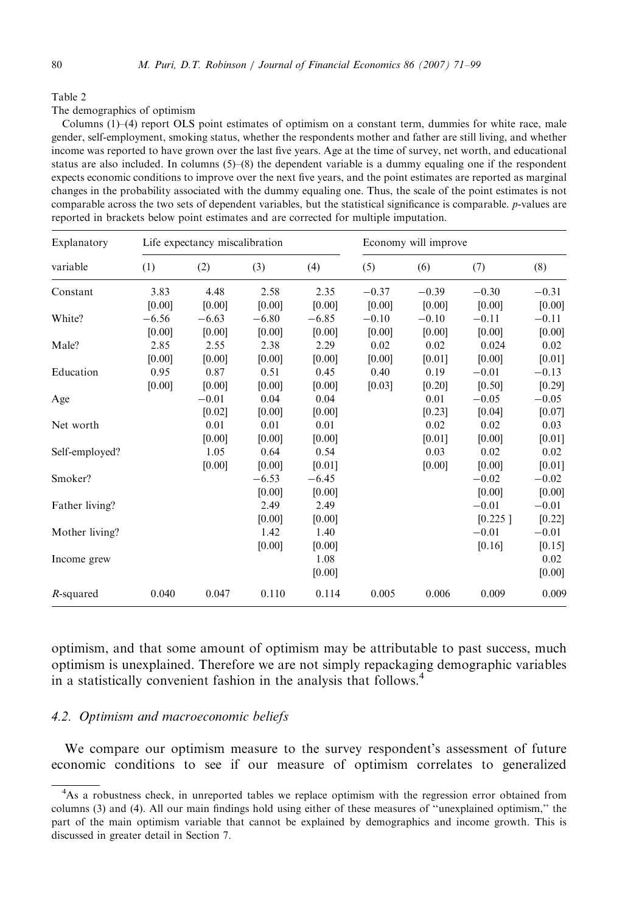<span id="page-9-0"></span>The demographics of optimism

Columns (1)–(4) report OLS point estimates of optimism on a constant term, dummies for white race, male gender, self-employment, smoking status, whether the respondents mother and father are still living, and whether income was reported to have grown over the last five years. Age at the time of survey, net worth, and educational status are also included. In columns  $(5)$ – $(8)$  the dependent variable is a dummy equaling one if the respondent expects economic conditions to improve over the next five years, and the point estimates are reported as marginal changes in the probability associated with the dummy equaling one. Thus, the scale of the point estimates is not comparable across the two sets of dependent variables, but the statistical significance is comparable. p-values are reported in brackets below point estimates and are corrected for multiple imputation.

| Explanatory    |         | Life expectancy miscalibration |         |         | Economy will improve |         |         |          |
|----------------|---------|--------------------------------|---------|---------|----------------------|---------|---------|----------|
| variable       | (1)     | (2)                            | (3)     | (4)     | (5)                  | (6)     | (7)     | (8)      |
| Constant       | 3.83    | 4.48                           | 2.58    | 2.35    | $-0.37$              | $-0.39$ | $-0.30$ | $-0.31$  |
|                | [0.00]  | [0.00]                         | [0.00]  | [0.00]  | [0.00]               | [0.00]  | [0.00]  | [0.00]   |
| White?         | $-6.56$ | $-6.63$                        | $-6.80$ | $-6.85$ | $-0.10$              | $-0.10$ | $-0.11$ | $-0.11$  |
|                | [0.00]  | [0.00]                         | [0.00]  | [0.00]  | [0.00]               | [0.00]  | [0.00]  | [0.00]   |
| Male?          | 2.85    | 2.55                           | 2.38    | 2.29    | 0.02                 | 0.02    | 0.024   | 0.02     |
|                | [0.00]  | [0.00]                         | [0.00]  | [0.00]  | [0.00]               | [0.01]  | [0.00]  | [0.01]   |
| Education      | 0.95    | 0.87                           | 0.51    | 0.45    | 0.40                 | 0.19    | $-0.01$ | $-0.13$  |
|                | [0.00]  | [0.00]                         | [0.00]  | [0.00]  | [0.03]               | [0.20]  | [0.50]  | [0.29]   |
| Age            |         | $-0.01$                        | 0.04    | 0.04    |                      | 0.01    | $-0.05$ | $-0.05$  |
|                |         | [0.02]                         | [0.00]  | [0.00]  |                      | [0.23]  | [0.04]  | [0.07]   |
| Net worth      |         | 0.01                           | 0.01    | 0.01    |                      | 0.02    | 0.02    | 0.03     |
|                |         | [0.00]                         | [0.00]  | [0.00]  |                      | [0.01]  | [0.00]  | [0.01]   |
| Self-employed? |         | 1.05                           | 0.64    | 0.54    |                      | 0.03    | 0.02    | 0.02     |
|                |         | [0.00]                         | [0.00]  | [0.01]  |                      | [0.00]  | [0.00]  | $[0.01]$ |
| Smoker?        |         |                                | $-6.53$ | $-6.45$ |                      |         | $-0.02$ | $-0.02$  |
|                |         |                                | [0.00]  | [0.00]  |                      |         | [0.00]  | [0.00]   |
| Father living? |         |                                | 2.49    | 2.49    |                      |         | $-0.01$ | $-0.01$  |
|                |         |                                | [0.00]  | [0.00]  |                      |         | [0.225] | [0.22]   |
| Mother living? |         |                                | 1.42    | 1.40    |                      |         | $-0.01$ | $-0.01$  |
|                |         |                                | [0.00]  | [0.00]  |                      |         | [0.16]  | [0.15]   |
| Income grew    |         |                                |         | 1.08    |                      |         |         | 0.02     |
|                |         |                                |         | [0.00]  |                      |         |         | [0.00]   |
| R-squared      | 0.040   | 0.047                          | 0.110   | 0.114   | 0.005                | 0.006   | 0.009   | 0.009    |

optimism, and that some amount of optimism may be attributable to past success, much optimism is unexplained. Therefore we are not simply repackaging demographic variables in a statistically convenient fashion in the analysis that follows.<sup>4</sup>

# 4.2. Optimism and macroeconomic beliefs

We compare our optimism measure to the survey respondent's assessment of future economic conditions to see if our measure of optimism correlates to generalized

<sup>4</sup> As a robustness check, in unreported tables we replace optimism with the regression error obtained from columns (3) and (4). All our main findings hold using either of these measures of ''unexplained optimism,'' the part of the main optimism variable that cannot be explained by demographics and income growth. This is discussed in greater detail in Section 7.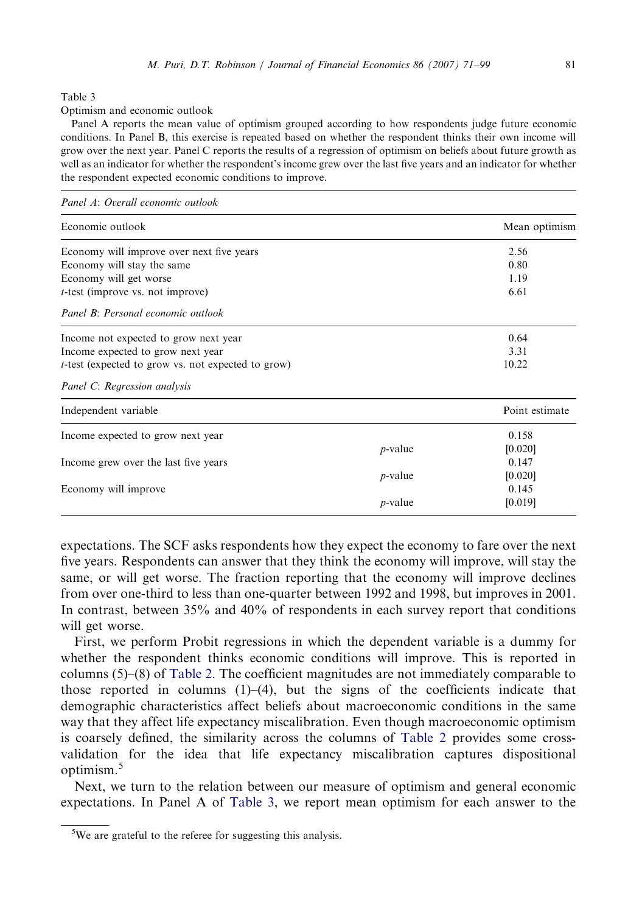<span id="page-10-0"></span>Optimism and economic outlook

Panel A reports the mean value of optimism grouped according to how respondents judge future economic conditions. In Panel B, this exercise is repeated based on whether the respondent thinks their own income will grow over the next year. Panel C reports the results of a regression of optimism on beliefs about future growth as well as an indicator for whether the respondent's income grew over the last five years and an indicator for whether the respondent expected economic conditions to improve.

#### Panel A: Overall economic outlook

| Economic outlook                                           |            | Mean optimism  |
|------------------------------------------------------------|------------|----------------|
| Economy will improve over next five years                  |            | 2.56           |
| Economy will stay the same                                 |            | 0.80           |
| Economy will get worse                                     |            | 1.19           |
| $t$ -test (improve vs. not improve)                        |            | 6.61           |
| Panel B: Personal economic outlook                         |            |                |
| Income not expected to grow next year                      |            | 0.64           |
| Income expected to grow next year                          |            | 3.31           |
| <i>t</i> -test (expected to grow vs. not expected to grow) |            | 10.22          |
| Panel C: Regression analysis                               |            |                |
| Independent variable                                       |            | Point estimate |
| Income expected to grow next year                          |            | 0.158          |
|                                                            | $p$ -value | [0.020]        |
| Income grew over the last five years                       |            | 0.147          |
|                                                            | $p$ -value | [0.020]        |
| Economy will improve                                       |            | 0.145          |
|                                                            | $p$ -value | [0.019]        |

expectations. The SCF asks respondents how they expect the economy to fare over the next five years. Respondents can answer that they think the economy will improve, will stay the same, or will get worse. The fraction reporting that the economy will improve declines from over one-third to less than one-quarter between 1992 and 1998, but improves in 2001. In contrast, between 35% and 40% of respondents in each survey report that conditions will get worse.

First, we perform Probit regressions in which the dependent variable is a dummy for whether the respondent thinks economic conditions will improve. This is reported in columns (5)–(8) of [Table 2](#page-9-0). The coefficient magnitudes are not immediately comparable to those reported in columns  $(1)$ – $(4)$ , but the signs of the coefficients indicate that demographic characteristics affect beliefs about macroeconomic conditions in the same way that they affect life expectancy miscalibration. Even though macroeconomic optimism is coarsely defined, the similarity across the columns of [Table 2](#page-9-0) provides some crossvalidation for the idea that life expectancy miscalibration captures dispositional optimism.<sup>5</sup>

Next, we turn to the relation between our measure of optimism and general economic expectations. In Panel A of Table 3, we report mean optimism for each answer to the

 $5$ We are grateful to the referee for suggesting this analysis.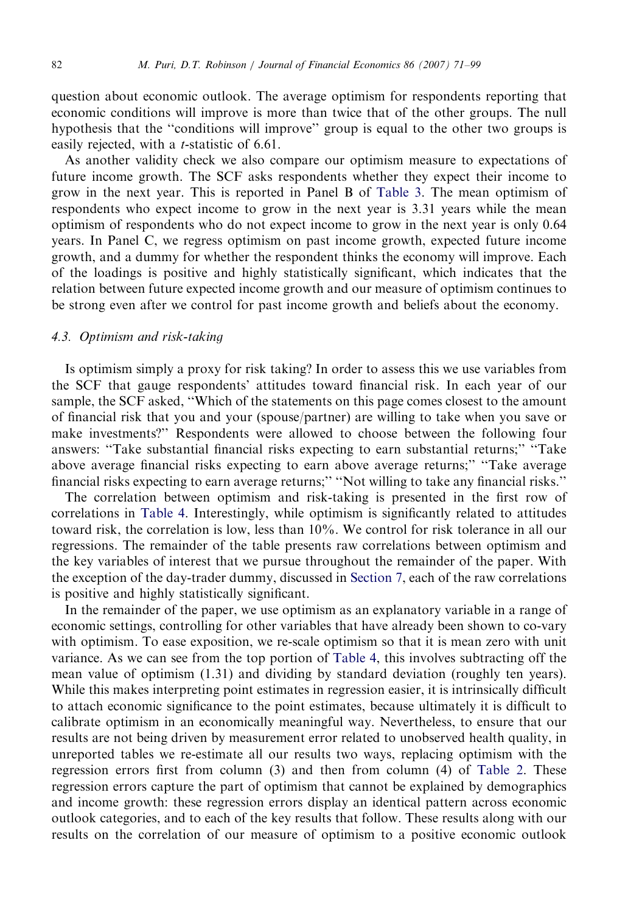question about economic outlook. The average optimism for respondents reporting that economic conditions will improve is more than twice that of the other groups. The null hypothesis that the ''conditions will improve'' group is equal to the other two groups is easily rejected, with a t-statistic of 6.61.

As another validity check we also compare our optimism measure to expectations of future income growth. The SCF asks respondents whether they expect their income to grow in the next year. This is reported in Panel B of [Table 3](#page-10-0). The mean optimism of respondents who expect income to grow in the next year is 3.31 years while the mean optimism of respondents who do not expect income to grow in the next year is only 0.64 years. In Panel C, we regress optimism on past income growth, expected future income growth, and a dummy for whether the respondent thinks the economy will improve. Each of the loadings is positive and highly statistically significant, which indicates that the relation between future expected income growth and our measure of optimism continues to be strong even after we control for past income growth and beliefs about the economy.

## 4.3. Optimism and risk-taking

Is optimism simply a proxy for risk taking? In order to assess this we use variables from the SCF that gauge respondents' attitudes toward financial risk. In each year of our sample, the SCF asked, ''Which of the statements on this page comes closest to the amount of financial risk that you and your (spouse/partner) are willing to take when you save or make investments?'' Respondents were allowed to choose between the following four answers: ''Take substantial financial risks expecting to earn substantial returns;'' ''Take above average financial risks expecting to earn above average returns;'' ''Take average financial risks expecting to earn average returns;'' ''Not willing to take any financial risks.''

The correlation between optimism and risk-taking is presented in the first row of correlations in [Table 4.](#page-12-0) Interestingly, while optimism is significantly related to attitudes toward risk, the correlation is low, less than 10%. We control for risk tolerance in all our regressions. The remainder of the table presents raw correlations between optimism and the key variables of interest that we pursue throughout the remainder of the paper. With the exception of the day-trader dummy, discussed in [Section 7,](#page-17-0) each of the raw correlations is positive and highly statistically significant.

In the remainder of the paper, we use optimism as an explanatory variable in a range of economic settings, controlling for other variables that have already been shown to co-vary with optimism. To ease exposition, we re-scale optimism so that it is mean zero with unit variance. As we can see from the top portion of [Table 4,](#page-12-0) this involves subtracting off the mean value of optimism (1.31) and dividing by standard deviation (roughly ten years). While this makes interpreting point estimates in regression easier, it is intrinsically difficult to attach economic significance to the point estimates, because ultimately it is difficult to calibrate optimism in an economically meaningful way. Nevertheless, to ensure that our results are not being driven by measurement error related to unobserved health quality, in unreported tables we re-estimate all our results two ways, replacing optimism with the regression errors first from column (3) and then from column (4) of [Table 2.](#page-9-0) These regression errors capture the part of optimism that cannot be explained by demographics and income growth: these regression errors display an identical pattern across economic outlook categories, and to each of the key results that follow. These results along with our results on the correlation of our measure of optimism to a positive economic outlook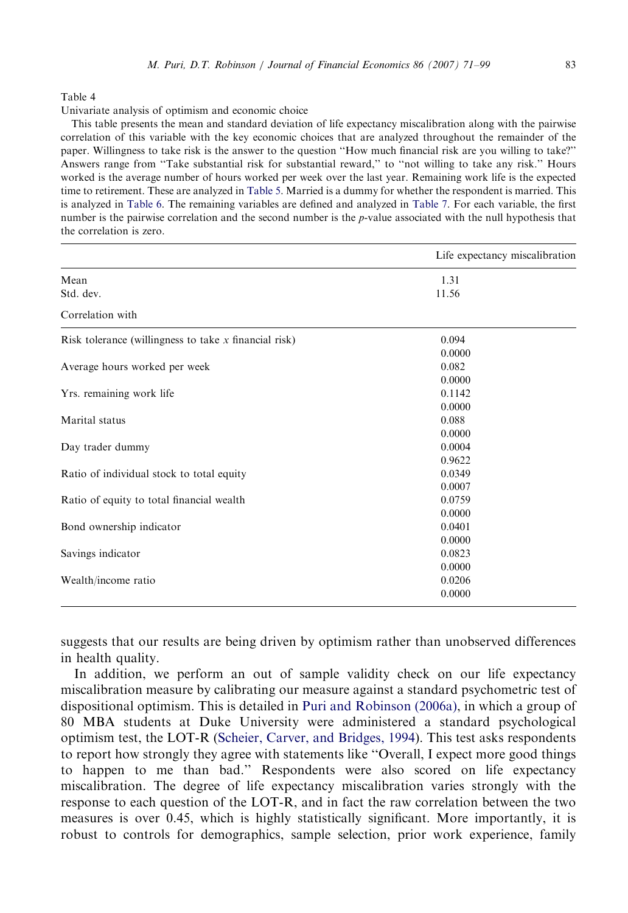<span id="page-12-0"></span>Univariate analysis of optimism and economic choice

This table presents the mean and standard deviation of life expectancy miscalibration along with the pairwise correlation of this variable with the key economic choices that are analyzed throughout the remainder of the paper. Willingness to take risk is the answer to the question ''How much financial risk are you willing to take?'' Answers range from ''Take substantial risk for substantial reward,'' to ''not willing to take any risk.'' Hours worked is the average number of hours worked per week over the last year. Remaining work life is the expected time to retirement. These are analyzed in [Table 5](#page-13-0). Married is a dummy for whether the respondent is married. This is analyzed in [Table 6](#page-16-0). The remaining variables are defined and analyzed in [Table 7](#page-17-0). For each variable, the first number is the pairwise correlation and the second number is the  $p$ -value associated with the null hypothesis that the correlation is zero.

|                                                         | Life expectancy miscalibration |
|---------------------------------------------------------|--------------------------------|
| Mean                                                    | 1.31                           |
| Std. dev.                                               | 11.56                          |
| Correlation with                                        |                                |
| Risk tolerance (willingness to take $x$ financial risk) | 0.094                          |
|                                                         | 0.0000                         |
| Average hours worked per week                           | 0.082                          |
|                                                         | 0.0000                         |
| Yrs. remaining work life                                | 0.1142                         |
|                                                         | 0.0000                         |
| Marital status                                          | 0.088                          |
|                                                         | 0.0000                         |
| Day trader dummy                                        | 0.0004                         |
|                                                         | 0.9622                         |
| Ratio of individual stock to total equity               | 0.0349                         |
|                                                         | 0.0007                         |
| Ratio of equity to total financial wealth               | 0.0759                         |
|                                                         | 0.0000                         |
| Bond ownership indicator                                | 0.0401                         |
|                                                         | 0.0000                         |
| Savings indicator                                       | 0.0823                         |
|                                                         | 0.0000                         |
| Wealth/income ratio                                     | 0.0206                         |
|                                                         | 0.0000                         |
|                                                         |                                |

suggests that our results are being driven by optimism rather than unobserved differences in health quality.

In addition, we perform an out of sample validity check on our life expectancy miscalibration measure by calibrating our measure against a standard psychometric test of dispositional optimism. This is detailed in [Puri and Robinson \(2006a\),](#page-27-0) in which a group of 80 MBA students at Duke University were administered a standard psychological optimism test, the LOT-R [\(Scheier, Carver, and Bridges, 1994](#page-27-0)). This test asks respondents to report how strongly they agree with statements like ''Overall, I expect more good things to happen to me than bad.'' Respondents were also scored on life expectancy miscalibration. The degree of life expectancy miscalibration varies strongly with the response to each question of the LOT-R, and in fact the raw correlation between the two measures is over 0.45, which is highly statistically significant. More importantly, it is robust to controls for demographics, sample selection, prior work experience, family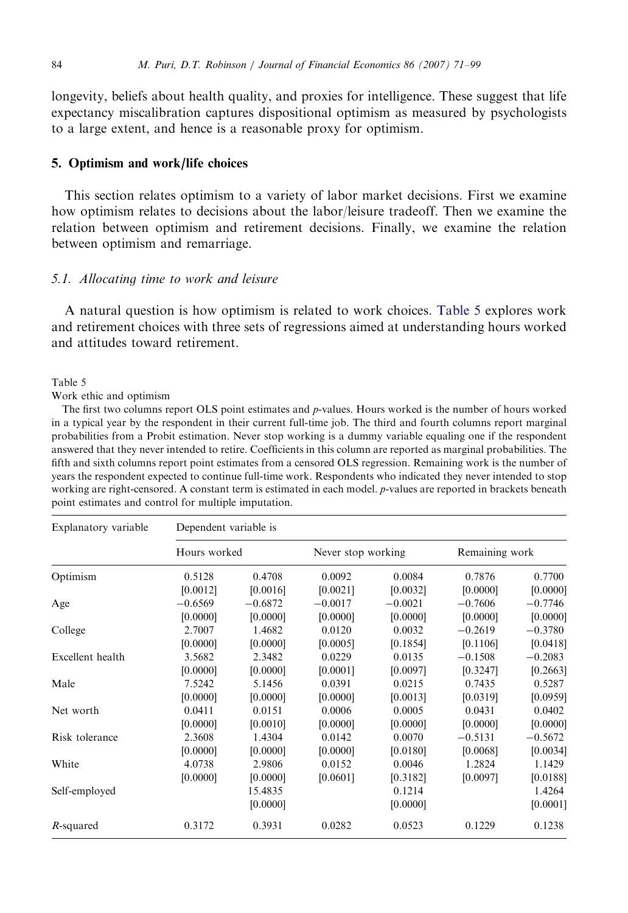<span id="page-13-0"></span>longevity, beliefs about health quality, and proxies for intelligence. These suggest that life expectancy miscalibration captures dispositional optimism as measured by psychologists to a large extent, and hence is a reasonable proxy for optimism.

## 5. Optimism and work/life choices

This section relates optimism to a variety of labor market decisions. First we examine how optimism relates to decisions about the labor/leisure tradeoff. Then we examine the relation between optimism and retirement decisions. Finally, we examine the relation between optimism and remarriage.

#### 5.1. Allocating time to work and leisure

A natural question is how optimism is related to work choices. Table 5 explores work and retirement choices with three sets of regressions aimed at understanding hours worked and attitudes toward retirement.

# Table 5

Work ethic and optimism

The first two columns report OLS point estimates and p-values. Hours worked is the number of hours worked in a typical year by the respondent in their current full-time job. The third and fourth columns report marginal probabilities from a Probit estimation. Never stop working is a dummy variable equaling one if the respondent answered that they never intended to retire. Coefficients in this column are reported as marginal probabilities. The fifth and sixth columns report point estimates from a censored OLS regression. Remaining work is the number of years the respondent expected to continue full-time work. Respondents who indicated they never intended to stop working are right-censored. A constant term is estimated in each model. p-values are reported in brackets beneath point estimates and control for multiple imputation.

| Explanatory variable | Dependent variable is |           |                    |           |                |           |  |  |  |  |
|----------------------|-----------------------|-----------|--------------------|-----------|----------------|-----------|--|--|--|--|
|                      | Hours worked          |           | Never stop working |           | Remaining work |           |  |  |  |  |
| Optimism             | 0.5128                | 0.4708    | 0.0092             | 0.0084    | 0.7876         | 0.7700    |  |  |  |  |
|                      | [0.0012]              | [0.0016]  | [0.0021]           | [0.0032]  | [0.0000]       | [0.0000]  |  |  |  |  |
| Age                  | $-0.6569$             | $-0.6872$ | $-0.0017$          | $-0.0021$ | $-0.7606$      | $-0.7746$ |  |  |  |  |
|                      | [0.0000]              | [0.0000]  | [0.0000]           | [0.0000]  | [0.0000]       | [0.0000]  |  |  |  |  |
| College              | 2.7007                | 1.4682    | 0.0120             | 0.0032    | $-0.2619$      | $-0.3780$ |  |  |  |  |
|                      | [0.0000]              | [0.0000]  | [0.0005]           | [0.1854]  | [0.1106]       | [0.0418]  |  |  |  |  |
| Excellent health     | 3.5682                | 2.3482    | 0.0229             | 0.0135    | $-0.1508$      | $-0.2083$ |  |  |  |  |
|                      | [0.0000]              | [0.0000]  | [0.0001]           | [0.0097]  | [0.3247]       | [0.2663]  |  |  |  |  |
| Male                 | 7.5242                | 5.1456    | 0.0391             | 0.0215    | 0.7435         | 0.5287    |  |  |  |  |
|                      | [0.0000]              | [0.0000]  | [0.0000]           | [0.0013]  | [0.0319]       | [0.0959]  |  |  |  |  |
| Net worth            | 0.0411                | 0.0151    | 0.0006             | 0.0005    | 0.0431         | 0.0402    |  |  |  |  |
|                      | [0.0000]              | [0.0010]  | [0.0000]           | [0.0000]  | [0.0000]       | [0.0000]  |  |  |  |  |
| Risk tolerance       | 2.3608                | 1.4304    | 0.0142             | 0.0070    | $-0.5131$      | $-0.5672$ |  |  |  |  |
|                      | [0.0000]              | [0.0000]  | [0.0000]           | [0.0180]  | [0.0068]       | [0.0034]  |  |  |  |  |
| White                | 4.0738                | 2.9806    | 0.0152             | 0.0046    | 1.2824         | 1.1429    |  |  |  |  |
|                      | [0.0000]              | [0.0000]  | [0.0601]           | [0.3182]  | [0.0097]       | [0.0188]  |  |  |  |  |
| Self-employed        |                       | 15.4835   |                    | 0.1214    |                | 1.4264    |  |  |  |  |
|                      |                       | [0.0000]  |                    | [0.0000]  |                | [0.0001]  |  |  |  |  |
| R-squared            | 0.3172                | 0.3931    | 0.0282             | 0.0523    | 0.1229         | 0.1238    |  |  |  |  |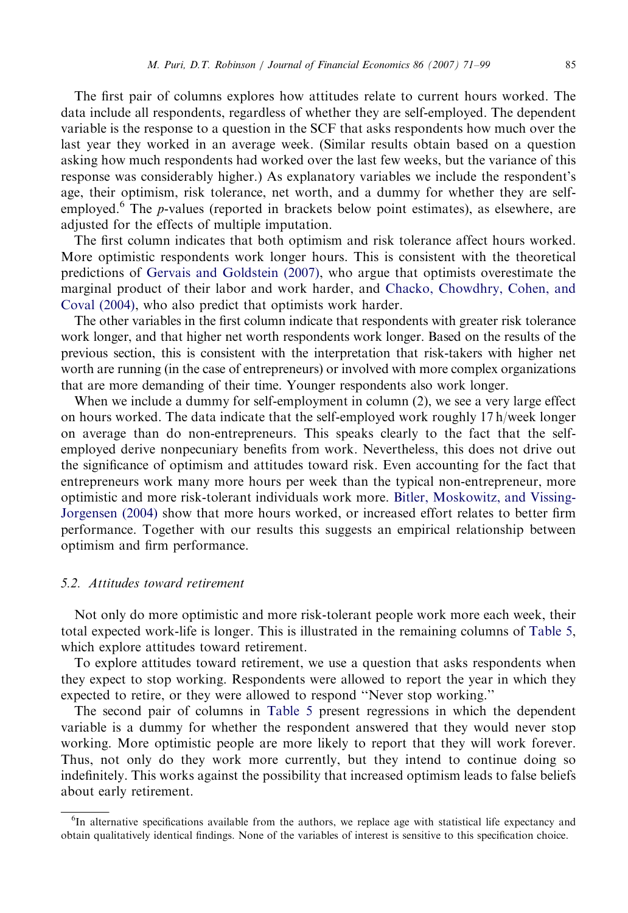The first pair of columns explores how attitudes relate to current hours worked. The data include all respondents, regardless of whether they are self-employed. The dependent variable is the response to a question in the SCF that asks respondents how much over the last year they worked in an average week. (Similar results obtain based on a question asking how much respondents had worked over the last few weeks, but the variance of this response was considerably higher.) As explanatory variables we include the respondent's age, their optimism, risk tolerance, net worth, and a dummy for whether they are selfemployed.<sup>6</sup> The *p*-values (reported in brackets below point estimates), as elsewhere, are adjusted for the effects of multiple imputation.

The first column indicates that both optimism and risk tolerance affect hours worked. More optimistic respondents work longer hours. This is consistent with the theoretical predictions of [Gervais and Goldstein \(2007\)](#page-27-0), who argue that optimists overestimate the marginal product of their labor and work harder, and [Chacko, Chowdhry, Cohen, and](#page-27-0) [Coval \(2004\),](#page-27-0) who also predict that optimists work harder.

The other variables in the first column indicate that respondents with greater risk tolerance work longer, and that higher net worth respondents work longer. Based on the results of the previous section, this is consistent with the interpretation that risk-takers with higher net worth are running (in the case of entrepreneurs) or involved with more complex organizations that are more demanding of their time. Younger respondents also work longer.

When we include a dummy for self-employment in column (2), we see a very large effect on hours worked. The data indicate that the self-employed work roughly 17 h/week longer on average than do non-entrepreneurs. This speaks clearly to the fact that the selfemployed derive nonpecuniary benefits from work. Nevertheless, this does not drive out the significance of optimism and attitudes toward risk. Even accounting for the fact that entrepreneurs work many more hours per week than the typical non-entrepreneur, more optimistic and more risk-tolerant individuals work more. [Bitler, Moskowitz, and Vissing-](#page-27-0)[Jorgensen \(2004\)](#page-27-0) show that more hours worked, or increased effort relates to better firm performance. Together with our results this suggests an empirical relationship between optimism and firm performance.

# 5.2. Attitudes toward retirement

Not only do more optimistic and more risk-tolerant people work more each week, their total expected work-life is longer. This is illustrated in the remaining columns of [Table 5,](#page-13-0) which explore attitudes toward retirement.

To explore attitudes toward retirement, we use a question that asks respondents when they expect to stop working. Respondents were allowed to report the year in which they expected to retire, or they were allowed to respond ''Never stop working.''

The second pair of columns in [Table 5](#page-13-0) present regressions in which the dependent variable is a dummy for whether the respondent answered that they would never stop working. More optimistic people are more likely to report that they will work forever. Thus, not only do they work more currently, but they intend to continue doing so indefinitely. This works against the possibility that increased optimism leads to false beliefs about early retirement.

<sup>&</sup>lt;sup>6</sup>In alternative specifications available from the authors, we replace age with statistical life expectancy and obtain qualitatively identical findings. None of the variables of interest is sensitive to this specification choice.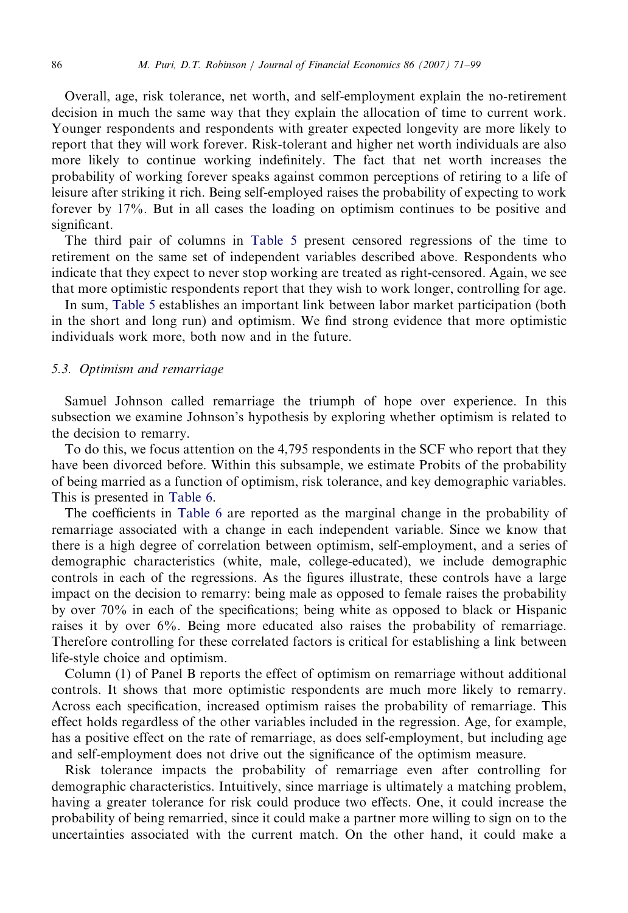Overall, age, risk tolerance, net worth, and self-employment explain the no-retirement decision in much the same way that they explain the allocation of time to current work. Younger respondents and respondents with greater expected longevity are more likely to report that they will work forever. Risk-tolerant and higher net worth individuals are also more likely to continue working indefinitely. The fact that net worth increases the probability of working forever speaks against common perceptions of retiring to a life of leisure after striking it rich. Being self-employed raises the probability of expecting to work forever by 17%. But in all cases the loading on optimism continues to be positive and significant.

The third pair of columns in [Table 5](#page-13-0) present censored regressions of the time to retirement on the same set of independent variables described above. Respondents who indicate that they expect to never stop working are treated as right-censored. Again, we see that more optimistic respondents report that they wish to work longer, controlling for age.

In sum, [Table 5](#page-13-0) establishes an important link between labor market participation (both in the short and long run) and optimism. We find strong evidence that more optimistic individuals work more, both now and in the future.

# 5.3. Optimism and remarriage

Samuel Johnson called remarriage the triumph of hope over experience. In this subsection we examine Johnson's hypothesis by exploring whether optimism is related to the decision to remarry.

To do this, we focus attention on the 4,795 respondents in the SCF who report that they have been divorced before. Within this subsample, we estimate Probits of the probability of being married as a function of optimism, risk tolerance, and key demographic variables. This is presented in [Table 6](#page-16-0).

The coefficients in [Table 6](#page-16-0) are reported as the marginal change in the probability of remarriage associated with a change in each independent variable. Since we know that there is a high degree of correlation between optimism, self-employment, and a series of demographic characteristics (white, male, college-educated), we include demographic controls in each of the regressions. As the figures illustrate, these controls have a large impact on the decision to remarry: being male as opposed to female raises the probability by over 70% in each of the specifications; being white as opposed to black or Hispanic raises it by over 6%. Being more educated also raises the probability of remarriage. Therefore controlling for these correlated factors is critical for establishing a link between life-style choice and optimism.

Column (1) of Panel B reports the effect of optimism on remarriage without additional controls. It shows that more optimistic respondents are much more likely to remarry. Across each specification, increased optimism raises the probability of remarriage. This effect holds regardless of the other variables included in the regression. Age, for example, has a positive effect on the rate of remarriage, as does self-employment, but including age and self-employment does not drive out the significance of the optimism measure.

Risk tolerance impacts the probability of remarriage even after controlling for demographic characteristics. Intuitively, since marriage is ultimately a matching problem, having a greater tolerance for risk could produce two effects. One, it could increase the probability of being remarried, since it could make a partner more willing to sign on to the uncertainties associated with the current match. On the other hand, it could make a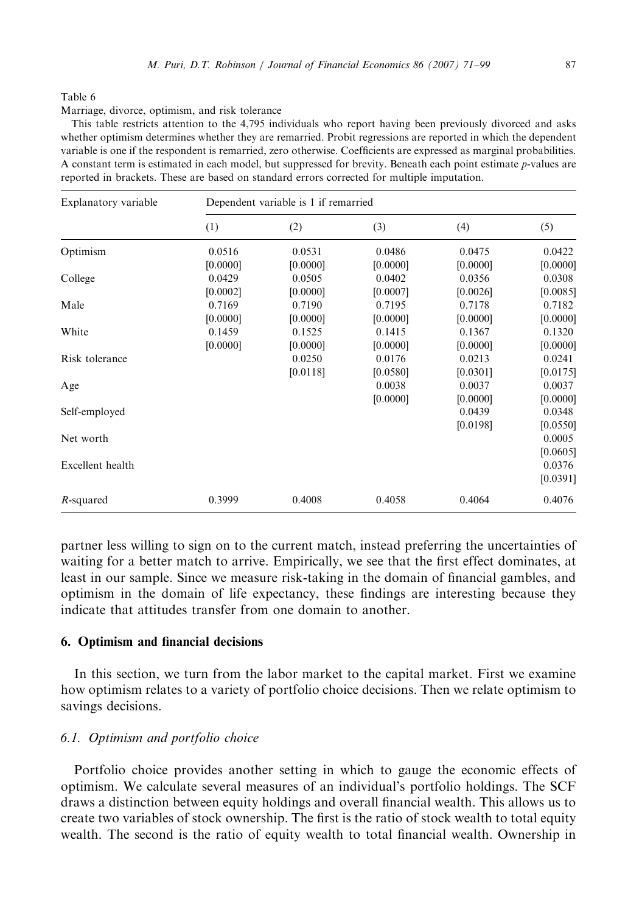<span id="page-16-0"></span>Marriage, divorce, optimism, and risk tolerance

This table restricts attention to the 4,795 individuals who report having been previously divorced and asks whether optimism determines whether they are remarried. Probit regressions are reported in which the dependent variable is one if the respondent is remarried, zero otherwise. Coefficients are expressed as marginal probabilities. A constant term is estimated in each model, but suppressed for brevity. Beneath each point estimate p-values are reported in brackets. These are based on standard errors corrected for multiple imputation.

| Explanatory variable |          | Dependent variable is 1 if remarried |          |          |          |
|----------------------|----------|--------------------------------------|----------|----------|----------|
|                      | (1)      | (2)                                  | (3)      | (4)      | (5)      |
| Optimism             | 0.0516   | 0.0531                               | 0.0486   | 0.0475   | 0.0422   |
|                      | [0.0000] | [0.0000]                             | [0.0000] | [0.0000] | [0.0000] |
| College              | 0.0429   | 0.0505                               | 0.0402   | 0.0356   | 0.0308   |
|                      | [0.0002] | [0.0000]                             | [0.0007] | [0.0026] | [0.0085] |
| Male                 | 0.7169   | 0.7190                               | 0.7195   | 0.7178   | 0.7182   |
|                      | [0.0000] | [0.0000]                             | [0.0000] | [0.0000] | [0.0000] |
| White                | 0.1459   | 0.1525                               | 0.1415   | 0.1367   | 0.1320   |
|                      | [0.0000] | [0.0000]                             | [0.0000] | [0.0000] | [0.0000] |
| Risk tolerance       |          | 0.0250                               | 0.0176   | 0.0213   | 0.0241   |
|                      |          | [0.0118]                             | [0.0580] | [0.0301] | [0.0175] |
| Age                  |          |                                      | 0.0038   | 0.0037   | 0.0037   |
|                      |          |                                      | [0.0000] | [0.0000] | [0.0000] |
| Self-employed        |          |                                      |          | 0.0439   | 0.0348   |
|                      |          |                                      |          | [0.0198] | [0.0550] |
| Net worth            |          |                                      |          |          | 0.0005   |
|                      |          |                                      |          |          | [0.0605] |
| Excellent health     |          |                                      |          |          | 0.0376   |
|                      |          |                                      |          |          | [0.0391] |
| R-squared            | 0.3999   | 0.4008                               | 0.4058   | 0.4064   | 0.4076   |

partner less willing to sign on to the current match, instead preferring the uncertainties of waiting for a better match to arrive. Empirically, we see that the first effect dominates, at least in our sample. Since we measure risk-taking in the domain of financial gambles, and optimism in the domain of life expectancy, these findings are interesting because they indicate that attitudes transfer from one domain to another.

## 6. Optimism and financial decisions

In this section, we turn from the labor market to the capital market. First we examine how optimism relates to a variety of portfolio choice decisions. Then we relate optimism to savings decisions.

#### 6.1. Optimism and portfolio choice

Portfolio choice provides another setting in which to gauge the economic effects of optimism. We calculate several measures of an individual's portfolio holdings. The SCF draws a distinction between equity holdings and overall financial wealth. This allows us to create two variables of stock ownership. The first is the ratio of stock wealth to total equity wealth. The second is the ratio of equity wealth to total financial wealth. Ownership in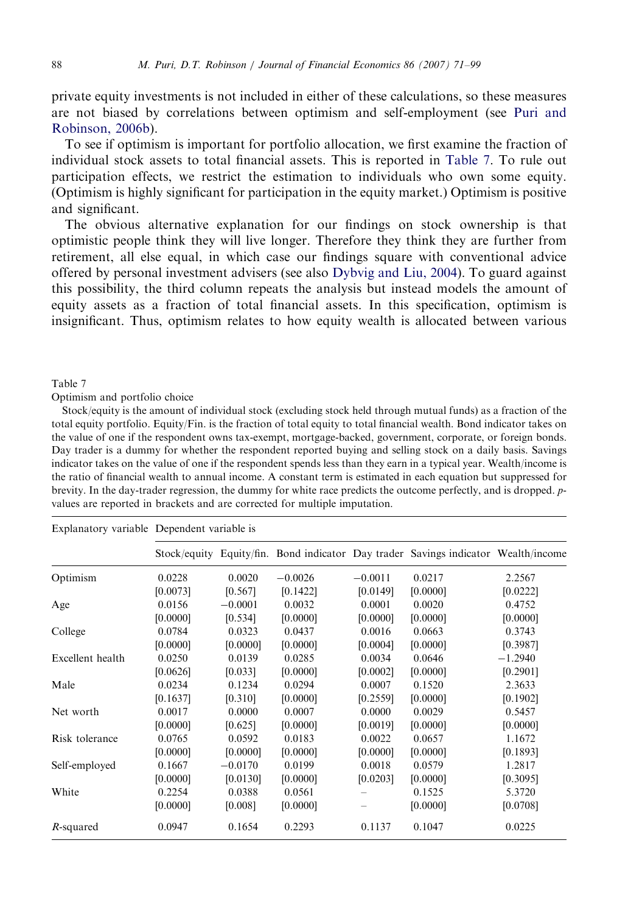<span id="page-17-0"></span>private equity investments is not included in either of these calculations, so these measures are not biased by correlations between optimism and self-employment (see [Puri and](#page-27-0) [Robinson, 2006b\)](#page-27-0).

To see if optimism is important for portfolio allocation, we first examine the fraction of individual stock assets to total financial assets. This is reported in Table 7. To rule out participation effects, we restrict the estimation to individuals who own some equity. (Optimism is highly significant for participation in the equity market.) Optimism is positive and significant.

The obvious alternative explanation for our findings on stock ownership is that optimistic people think they will live longer. Therefore they think they are further from retirement, all else equal, in which case our findings square with conventional advice offered by personal investment advisers (see also [Dybvig and Liu, 2004\)](#page-27-0). To guard against this possibility, the third column repeats the analysis but instead models the amount of equity assets as a fraction of total financial assets. In this specification, optimism is insignificant. Thus, optimism relates to how equity wealth is allocated between various

## Table 7

Optimism and portfolio choice

Stock/equity is the amount of individual stock (excluding stock held through mutual funds) as a fraction of the total equity portfolio. Equity/Fin. is the fraction of total equity to total financial wealth. Bond indicator takes on the value of one if the respondent owns tax-exempt, mortgage-backed, government, corporate, or foreign bonds. Day trader is a dummy for whether the respondent reported buying and selling stock on a daily basis. Savings indicator takes on the value of one if the respondent spends less than they earn in a typical year. Wealth/income is the ratio of financial wealth to annual income. A constant term is estimated in each equation but suppressed for brevity. In the day-trader regression, the dummy for white race predicts the outcome perfectly, and is dropped. pvalues are reported in brackets and are corrected for multiple imputation.

|                  | Explanatory variable Dependent variable is |           |           |           |                                                                                    |           |  |  |  |
|------------------|--------------------------------------------|-----------|-----------|-----------|------------------------------------------------------------------------------------|-----------|--|--|--|
|                  |                                            |           |           |           | Stock/equity Equity/fin. Bond indicator Day trader Savings indicator Wealth/income |           |  |  |  |
| Optimism         | 0.0228                                     | 0.0020    | $-0.0026$ | $-0.0011$ | 0.0217                                                                             | 2.2567    |  |  |  |
|                  | [0.0073]                                   | [0.567]   | [0.1422]  | [0.0149]  | [0.0000]                                                                           | [0.0222]  |  |  |  |
| Age              | 0.0156                                     | $-0.0001$ | 0.0032    | 0.0001    | 0.0020                                                                             | 0.4752    |  |  |  |
|                  | [0.0000]                                   | [0.534]   | [0.0000]  | [0.0000]  | [0.0000]                                                                           | [0.0000]  |  |  |  |
| College          | 0.0784                                     | 0.0323    | 0.0437    | 0.0016    | 0.0663                                                                             | 0.3743    |  |  |  |
|                  | [0.0000]                                   | [0.0000]  | [0.0000]  | [0.0004]  | [0.0000]                                                                           | [0.3987]  |  |  |  |
| Excellent health | 0.0250                                     | 0.0139    | 0.0285    | 0.0034    | 0.0646                                                                             | $-1.2940$ |  |  |  |
|                  | [0.0626]                                   | [0.033]   | [0.0000]  | [0.0002]  | [0.0000]                                                                           | [0.2901]  |  |  |  |
| Male             | 0.0234                                     | 0.1234    | 0.0294    | 0.0007    | 0.1520                                                                             | 2.3633    |  |  |  |
|                  | [0.1637]                                   | [0.310]   | [0.0000]  | [0.2559]  | [0.0000]                                                                           | [0.1902]  |  |  |  |
| Net worth        | 0.0017                                     | 0.0000    | 0.0007    | 0.0000    | 0.0029                                                                             | 0.5457    |  |  |  |
|                  | [0.0000]                                   | [0.625]   | [0.0000]  | [0.0019]  | [0.0000]                                                                           | [0.0000]  |  |  |  |
| Risk tolerance   | 0.0765                                     | 0.0592    | 0.0183    | 0.0022    | 0.0657                                                                             | 1.1672    |  |  |  |
|                  | [0.0000]                                   | [0.0000]  | [0.0000]  | [0.0000]  | [0.0000]                                                                           | [0.1893]  |  |  |  |
| Self-employed    | 0.1667                                     | $-0.0170$ | 0.0199    | 0.0018    | 0.0579                                                                             | 1.2817    |  |  |  |
|                  | [0.0000]                                   | [0.0130]  | [0.0000]  | [0.0203]  | [0.0000]                                                                           | [0.3095]  |  |  |  |
| White            | 0.2254                                     | 0.0388    | 0.0561    |           | 0.1525                                                                             | 5.3720    |  |  |  |
|                  | [0.0000]                                   | [0.008]   | [0.0000]  |           | [0.0000]                                                                           | [0.0708]  |  |  |  |
| $R$ -squared     | 0.0947                                     | 0.1654    | 0.2293    | 0.1137    | 0.1047                                                                             | 0.0225    |  |  |  |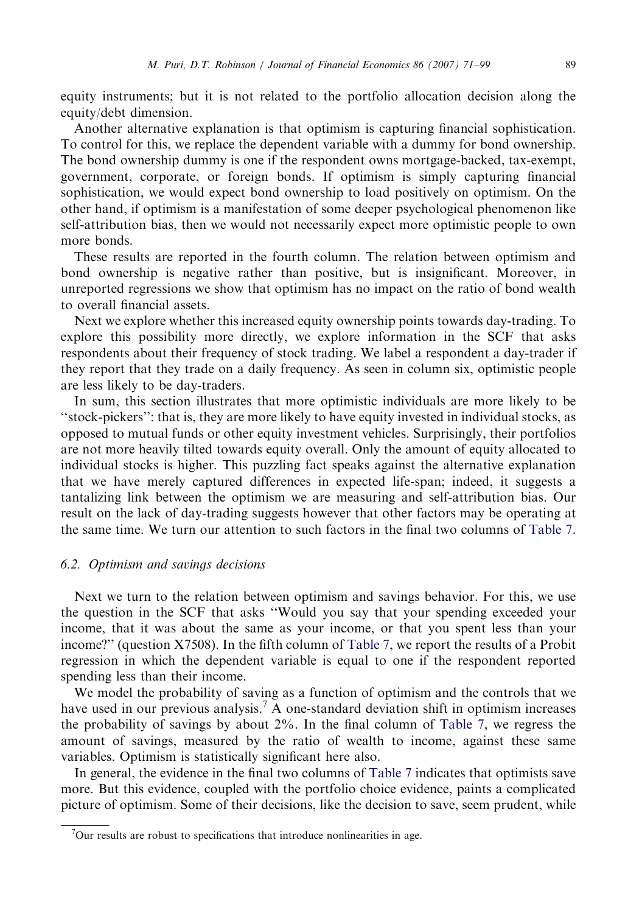equity instruments; but it is not related to the portfolio allocation decision along the equity/debt dimension.

Another alternative explanation is that optimism is capturing financial sophistication. To control for this, we replace the dependent variable with a dummy for bond ownership. The bond ownership dummy is one if the respondent owns mortgage-backed, tax-exempt, government, corporate, or foreign bonds. If optimism is simply capturing financial sophistication, we would expect bond ownership to load positively on optimism. On the other hand, if optimism is a manifestation of some deeper psychological phenomenon like self-attribution bias, then we would not necessarily expect more optimistic people to own more bonds.

These results are reported in the fourth column. The relation between optimism and bond ownership is negative rather than positive, but is insignificant. Moreover, in unreported regressions we show that optimism has no impact on the ratio of bond wealth to overall financial assets.

Next we explore whether this increased equity ownership points towards day-trading. To explore this possibility more directly, we explore information in the SCF that asks respondents about their frequency of stock trading. We label a respondent a day-trader if they report that they trade on a daily frequency. As seen in column six, optimistic people are less likely to be day-traders.

In sum, this section illustrates that more optimistic individuals are more likely to be ''stock-pickers'': that is, they are more likely to have equity invested in individual stocks, as opposed to mutual funds or other equity investment vehicles. Surprisingly, their portfolios are not more heavily tilted towards equity overall. Only the amount of equity allocated to individual stocks is higher. This puzzling fact speaks against the alternative explanation that we have merely captured differences in expected life-span; indeed, it suggests a tantalizing link between the optimism we are measuring and self-attribution bias. Our result on the lack of day-trading suggests however that other factors may be operating at the same time. We turn our attention to such factors in the final two columns of [Table 7.](#page-17-0)

# 6.2. Optimism and savings decisions

Next we turn to the relation between optimism and savings behavior. For this, we use the question in the SCF that asks ''Would you say that your spending exceeded your income, that it was about the same as your income, or that you spent less than your income?'' (question X7508). In the fifth column of [Table 7](#page-17-0), we report the results of a Probit regression in which the dependent variable is equal to one if the respondent reported spending less than their income.

We model the probability of saving as a function of optimism and the controls that we have used in our previous analysis.<sup>7</sup> A one-standard deviation shift in optimism increases the probability of savings by about 2%. In the final column of [Table 7,](#page-17-0) we regress the amount of savings, measured by the ratio of wealth to income, against these same variables. Optimism is statistically significant here also.

In general, the evidence in the final two columns of [Table 7](#page-17-0) indicates that optimists save more. But this evidence, coupled with the portfolio choice evidence, paints a complicated picture of optimism. Some of their decisions, like the decision to save, seem prudent, while

 $7$ Our results are robust to specifications that introduce nonlinearities in age.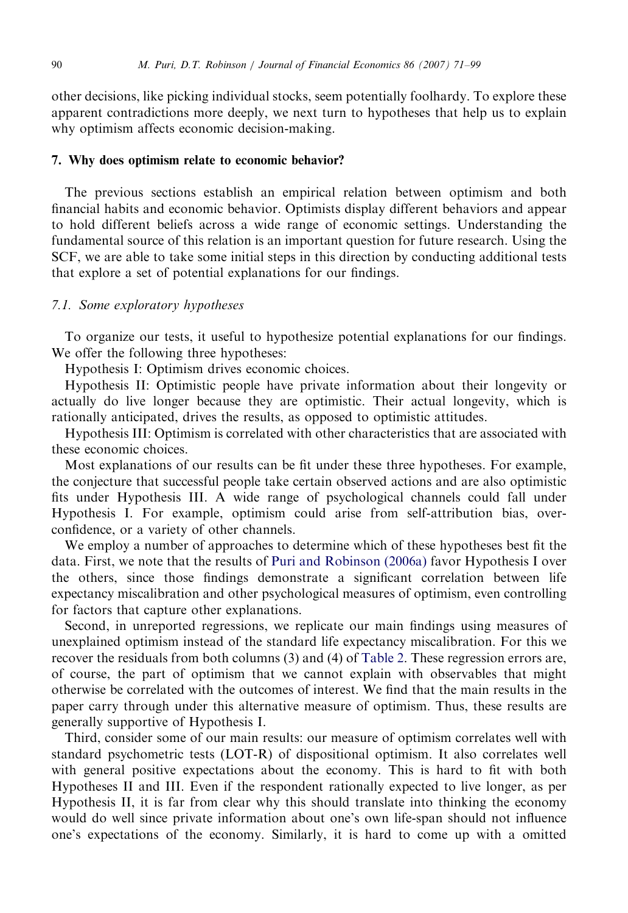other decisions, like picking individual stocks, seem potentially foolhardy. To explore these apparent contradictions more deeply, we next turn to hypotheses that help us to explain why optimism affects economic decision-making.

#### 7. Why does optimism relate to economic behavior?

The previous sections establish an empirical relation between optimism and both financial habits and economic behavior. Optimists display different behaviors and appear to hold different beliefs across a wide range of economic settings. Understanding the fundamental source of this relation is an important question for future research. Using the SCF, we are able to take some initial steps in this direction by conducting additional tests that explore a set of potential explanations for our findings.

# 7.1. Some exploratory hypotheses

To organize our tests, it useful to hypothesize potential explanations for our findings. We offer the following three hypotheses:

Hypothesis I: Optimism drives economic choices.

Hypothesis II: Optimistic people have private information about their longevity or actually do live longer because they are optimistic. Their actual longevity, which is rationally anticipated, drives the results, as opposed to optimistic attitudes.

Hypothesis III: Optimism is correlated with other characteristics that are associated with these economic choices.

Most explanations of our results can be fit under these three hypotheses. For example, the conjecture that successful people take certain observed actions and are also optimistic fits under Hypothesis III. A wide range of psychological channels could fall under Hypothesis I. For example, optimism could arise from self-attribution bias, overconfidence, or a variety of other channels.

We employ a number of approaches to determine which of these hypotheses best fit the data. First, we note that the results of [Puri and Robinson \(2006a\)](#page-27-0) favor Hypothesis I over the others, since those findings demonstrate a significant correlation between life expectancy miscalibration and other psychological measures of optimism, even controlling for factors that capture other explanations.

Second, in unreported regressions, we replicate our main findings using measures of unexplained optimism instead of the standard life expectancy miscalibration. For this we recover the residuals from both columns (3) and (4) of [Table 2](#page-9-0). These regression errors are, of course, the part of optimism that we cannot explain with observables that might otherwise be correlated with the outcomes of interest. We find that the main results in the paper carry through under this alternative measure of optimism. Thus, these results are generally supportive of Hypothesis I.

Third, consider some of our main results: our measure of optimism correlates well with standard psychometric tests (LOT-R) of dispositional optimism. It also correlates well with general positive expectations about the economy. This is hard to fit with both Hypotheses II and III. Even if the respondent rationally expected to live longer, as per Hypothesis II, it is far from clear why this should translate into thinking the economy would do well since private information about one's own life-span should not influence one's expectations of the economy. Similarly, it is hard to come up with a omitted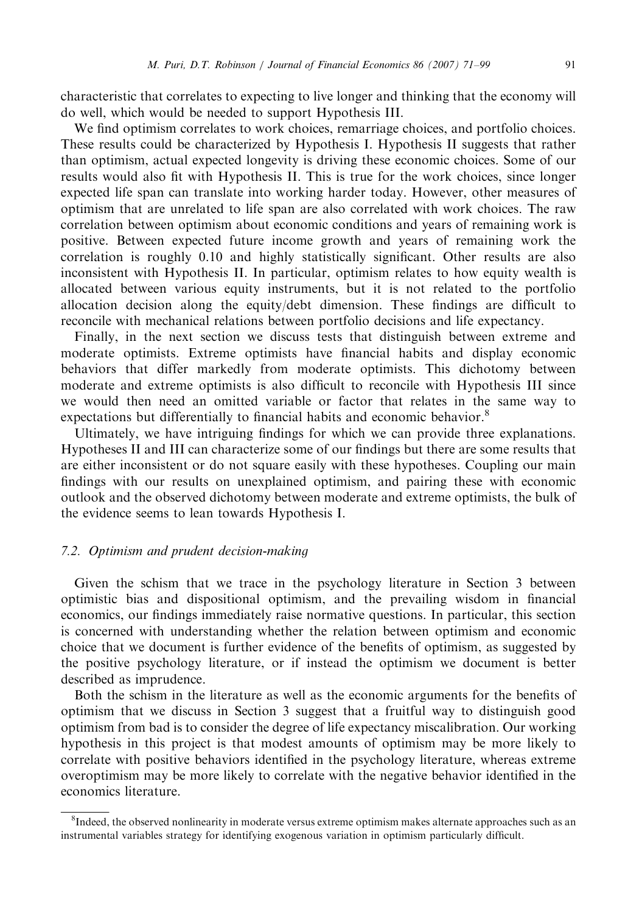characteristic that correlates to expecting to live longer and thinking that the economy will do well, which would be needed to support Hypothesis III.

We find optimism correlates to work choices, remarriage choices, and portfolio choices. These results could be characterized by Hypothesis I. Hypothesis II suggests that rather than optimism, actual expected longevity is driving these economic choices. Some of our results would also fit with Hypothesis II. This is true for the work choices, since longer expected life span can translate into working harder today. However, other measures of optimism that are unrelated to life span are also correlated with work choices. The raw correlation between optimism about economic conditions and years of remaining work is positive. Between expected future income growth and years of remaining work the correlation is roughly 0.10 and highly statistically significant. Other results are also inconsistent with Hypothesis II. In particular, optimism relates to how equity wealth is allocated between various equity instruments, but it is not related to the portfolio allocation decision along the equity/debt dimension. These findings are difficult to reconcile with mechanical relations between portfolio decisions and life expectancy.

Finally, in the next section we discuss tests that distinguish between extreme and moderate optimists. Extreme optimists have financial habits and display economic behaviors that differ markedly from moderate optimists. This dichotomy between moderate and extreme optimists is also difficult to reconcile with Hypothesis III since we would then need an omitted variable or factor that relates in the same way to expectations but differentially to financial habits and economic behavior.<sup>8</sup>

Ultimately, we have intriguing findings for which we can provide three explanations. Hypotheses II and III can characterize some of our findings but there are some results that are either inconsistent or do not square easily with these hypotheses. Coupling our main findings with our results on unexplained optimism, and pairing these with economic outlook and the observed dichotomy between moderate and extreme optimists, the bulk of the evidence seems to lean towards Hypothesis I.

# 7.2. Optimism and prudent decision-making

Given the schism that we trace in the psychology literature in Section 3 between optimistic bias and dispositional optimism, and the prevailing wisdom in financial economics, our findings immediately raise normative questions. In particular, this section is concerned with understanding whether the relation between optimism and economic choice that we document is further evidence of the benefits of optimism, as suggested by the positive psychology literature, or if instead the optimism we document is better described as imprudence.

Both the schism in the literature as well as the economic arguments for the benefits of optimism that we discuss in Section 3 suggest that a fruitful way to distinguish good optimism from bad is to consider the degree of life expectancy miscalibration. Our working hypothesis in this project is that modest amounts of optimism may be more likely to correlate with positive behaviors identified in the psychology literature, whereas extreme overoptimism may be more likely to correlate with the negative behavior identified in the economics literature.

<sup>&</sup>lt;sup>8</sup>Indeed, the observed nonlinearity in moderate versus extreme optimism makes alternate approaches such as an instrumental variables strategy for identifying exogenous variation in optimism particularly difficult.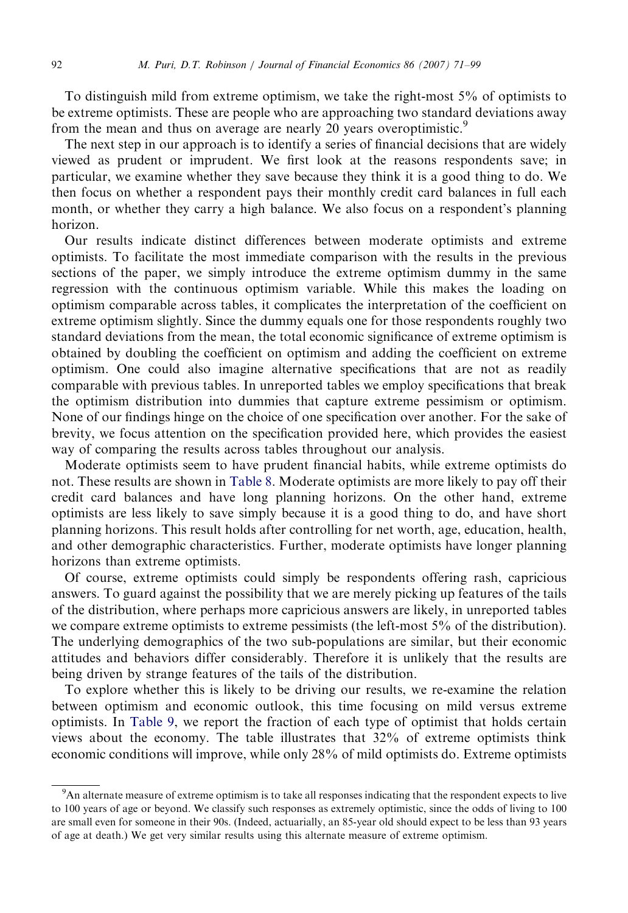To distinguish mild from extreme optimism, we take the right-most 5% of optimists to be extreme optimists. These are people who are approaching two standard deviations away from the mean and thus on average are nearly 20 years overoptimistic.<sup>9</sup>

The next step in our approach is to identify a series of financial decisions that are widely viewed as prudent or imprudent. We first look at the reasons respondents save; in particular, we examine whether they save because they think it is a good thing to do. We then focus on whether a respondent pays their monthly credit card balances in full each month, or whether they carry a high balance. We also focus on a respondent's planning horizon.

Our results indicate distinct differences between moderate optimists and extreme optimists. To facilitate the most immediate comparison with the results in the previous sections of the paper, we simply introduce the extreme optimism dummy in the same regression with the continuous optimism variable. While this makes the loading on optimism comparable across tables, it complicates the interpretation of the coefficient on extreme optimism slightly. Since the dummy equals one for those respondents roughly two standard deviations from the mean, the total economic significance of extreme optimism is obtained by doubling the coefficient on optimism and adding the coefficient on extreme optimism. One could also imagine alternative specifications that are not as readily comparable with previous tables. In unreported tables we employ specifications that break the optimism distribution into dummies that capture extreme pessimism or optimism. None of our findings hinge on the choice of one specification over another. For the sake of brevity, we focus attention on the specification provided here, which provides the easiest way of comparing the results across tables throughout our analysis.

Moderate optimists seem to have prudent financial habits, while extreme optimists do not. These results are shown in [Table 8.](#page-22-0) Moderate optimists are more likely to pay off their credit card balances and have long planning horizons. On the other hand, extreme optimists are less likely to save simply because it is a good thing to do, and have short planning horizons. This result holds after controlling for net worth, age, education, health, and other demographic characteristics. Further, moderate optimists have longer planning horizons than extreme optimists.

Of course, extreme optimists could simply be respondents offering rash, capricious answers. To guard against the possibility that we are merely picking up features of the tails of the distribution, where perhaps more capricious answers are likely, in unreported tables we compare extreme optimists to extreme pessimists (the left-most 5% of the distribution). The underlying demographics of the two sub-populations are similar, but their economic attitudes and behaviors differ considerably. Therefore it is unlikely that the results are being driven by strange features of the tails of the distribution.

To explore whether this is likely to be driving our results, we re-examine the relation between optimism and economic outlook, this time focusing on mild versus extreme optimists. In [Table 9,](#page-22-0) we report the fraction of each type of optimist that holds certain views about the economy. The table illustrates that 32% of extreme optimists think economic conditions will improve, while only 28% of mild optimists do. Extreme optimists

<sup>&</sup>lt;sup>9</sup>An alternate measure of extreme optimism is to take all responses indicating that the respondent expects to live to 100 years of age or beyond. We classify such responses as extremely optimistic, since the odds of living to 100 are small even for someone in their 90s. (Indeed, actuarially, an 85-year old should expect to be less than 93 years of age at death.) We get very similar results using this alternate measure of extreme optimism.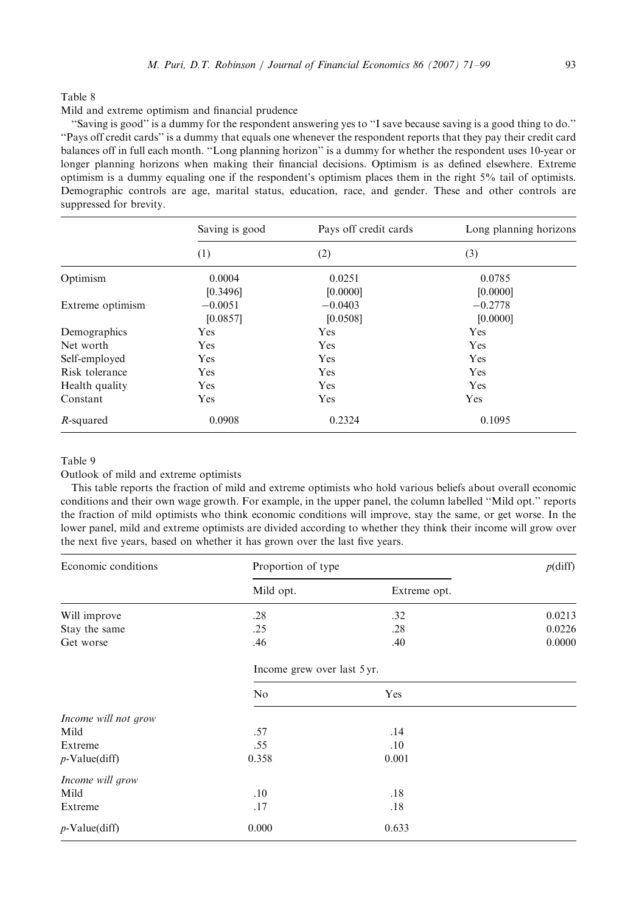## <span id="page-22-0"></span>Mild and extreme optimism and financial prudence

''Saving is good'' is a dummy for the respondent answering yes to ''I save because saving is a good thing to do.'' ''Pays off credit cards'' is a dummy that equals one whenever the respondent reports that they pay their credit card balances off in full each month. ''Long planning horizon'' is a dummy for whether the respondent uses 10-year or longer planning horizons when making their financial decisions. Optimism is as defined elsewhere. Extreme optimism is a dummy equaling one if the respondent's optimism places them in the right 5% tail of optimists. Demographic controls are age, marital status, education, race, and gender. These and other controls are suppressed for brevity.

|                  | Saving is good | Pays off credit cards | Long planning horizons |
|------------------|----------------|-----------------------|------------------------|
|                  | (1)            | (2)                   | (3)                    |
| Optimism         | 0.0004         | 0.0251                | 0.0785                 |
|                  | [0.3496]       | [0.0000]              | [0.0000]               |
| Extreme optimism | $-0.0051$      | $-0.0403$             | $-0.2778$              |
|                  | [0.0857]       | [0.0508]              | [0.0000]               |
| Demographics     | Yes            | Yes                   | Yes                    |
| Net worth        | Yes            | Yes                   | Yes                    |
| Self-employed    | <b>Yes</b>     | Yes                   | Yes                    |
| Risk tolerance   | Yes            | Yes                   | Yes                    |
| Health quality   | Yes            | Yes                   | Yes                    |
| Constant         | Yes            | Yes                   | Yes                    |
| R-squared        | 0.0908         | 0.2324                | 0.1095                 |

#### Table 9

#### Outlook of mild and extreme optimists

This table reports the fraction of mild and extreme optimists who hold various beliefs about overall economic conditions and their own wage growth. For example, in the upper panel, the column labelled ''Mild opt.'' reports the fraction of mild optimists who think economic conditions will improve, stay the same, or get worse. In the lower panel, mild and extreme optimists are divided according to whether they think their income will grow over the next five years, based on whether it has grown over the last five years.

| Economic conditions  | Proportion of type          |              | $p$ (diff) |
|----------------------|-----------------------------|--------------|------------|
|                      | Mild opt.                   | Extreme opt. |            |
| Will improve         | .28                         | .32          | 0.0213     |
| Stay the same        | .25                         | .28          | 0.0226     |
| Get worse            | .46                         | .40          | 0.0000     |
|                      | Income grew over last 5 yr. |              |            |
|                      | No                          | Yes          |            |
| Income will not grow |                             |              |            |
| Mild                 | .57                         | .14          |            |
| Extreme              | .55                         | .10          |            |
| $p$ -Value(diff)     | 0.358                       | 0.001        |            |
| Income will grow     |                             |              |            |
| Mild                 | .10                         | .18          |            |
| Extreme              | .17                         | .18          |            |
| $p$ -Value(diff)     | 0.000                       | 0.633        |            |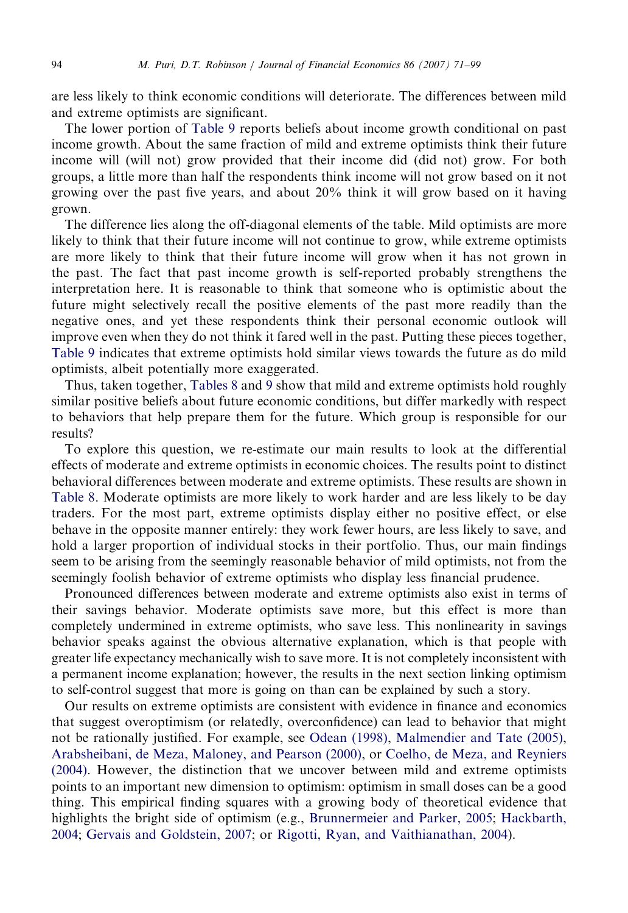are less likely to think economic conditions will deteriorate. The differences between mild and extreme optimists are significant.

The lower portion of [Table 9](#page-22-0) reports beliefs about income growth conditional on past income growth. About the same fraction of mild and extreme optimists think their future income will (will not) grow provided that their income did (did not) grow. For both groups, a little more than half the respondents think income will not grow based on it not growing over the past five years, and about 20% think it will grow based on it having grown.

The difference lies along the off-diagonal elements of the table. Mild optimists are more likely to think that their future income will not continue to grow, while extreme optimists are more likely to think that their future income will grow when it has not grown in the past. The fact that past income growth is self-reported probably strengthens the interpretation here. It is reasonable to think that someone who is optimistic about the future might selectively recall the positive elements of the past more readily than the negative ones, and yet these respondents think their personal economic outlook will improve even when they do not think it fared well in the past. Putting these pieces together, [Table 9](#page-22-0) indicates that extreme optimists hold similar views towards the future as do mild optimists, albeit potentially more exaggerated.

Thus, taken together, [Tables 8](#page-22-0) and [9](#page-22-0) show that mild and extreme optimists hold roughly similar positive beliefs about future economic conditions, but differ markedly with respect to behaviors that help prepare them for the future. Which group is responsible for our results?

To explore this question, we re-estimate our main results to look at the differential effects of moderate and extreme optimists in economic choices. The results point to distinct behavioral differences between moderate and extreme optimists. These results are shown in [Table 8.](#page-22-0) Moderate optimists are more likely to work harder and are less likely to be day traders. For the most part, extreme optimists display either no positive effect, or else behave in the opposite manner entirely: they work fewer hours, are less likely to save, and hold a larger proportion of individual stocks in their portfolio. Thus, our main findings seem to be arising from the seemingly reasonable behavior of mild optimists, not from the seemingly foolish behavior of extreme optimists who display less financial prudence.

Pronounced differences between moderate and extreme optimists also exist in terms of their savings behavior. Moderate optimists save more, but this effect is more than completely undermined in extreme optimists, who save less. This nonlinearity in savings behavior speaks against the obvious alternative explanation, which is that people with greater life expectancy mechanically wish to save more. It is not completely inconsistent with a permanent income explanation; however, the results in the next section linking optimism to self-control suggest that more is going on than can be explained by such a story.

Our results on extreme optimists are consistent with evidence in finance and economics that suggest overoptimism (or relatedly, overconfidence) can lead to behavior that might not be rationally justified. For example, see [Odean \(1998\),](#page-27-0) [Malmendier and Tate \(2005\),](#page-27-0) [Arabsheibani, de Meza, Maloney, and Pearson \(2000\),](#page-26-0) or [Coelho, de Meza, and Reyniers](#page-27-0) [\(2004\).](#page-27-0) However, the distinction that we uncover between mild and extreme optimists points to an important new dimension to optimism: optimism in small doses can be a good thing. This empirical finding squares with a growing body of theoretical evidence that highlights the bright side of optimism (e.g., [Brunnermeier and Parker, 2005](#page-27-0); [Hackbarth,](#page-27-0) [2004](#page-27-0); [Gervais and Goldstein, 2007;](#page-27-0) or [Rigotti, Ryan, and Vaithianathan, 2004](#page-27-0)).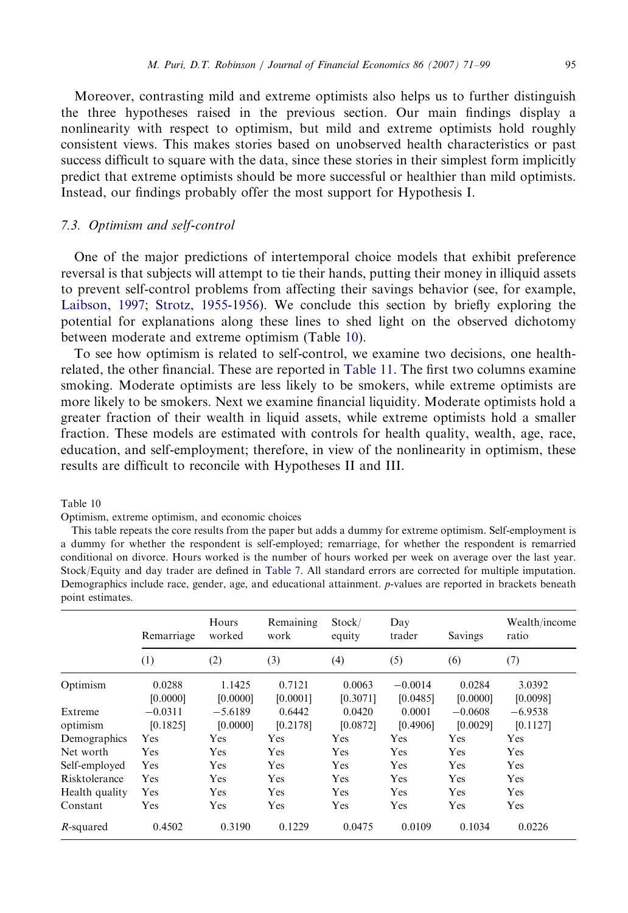Moreover, contrasting mild and extreme optimists also helps us to further distinguish the three hypotheses raised in the previous section. Our main findings display a nonlinearity with respect to optimism, but mild and extreme optimists hold roughly consistent views. This makes stories based on unobserved health characteristics or past success difficult to square with the data, since these stories in their simplest form implicitly predict that extreme optimists should be more successful or healthier than mild optimists. Instead, our findings probably offer the most support for Hypothesis I.

# 7.3. Optimism and self-control

One of the major predictions of intertemporal choice models that exhibit preference reversal is that subjects will attempt to tie their hands, putting their money in illiquid assets to prevent self-control problems from affecting their savings behavior (see, for example, [Laibson, 1997](#page-27-0); [Strotz, 1955-1956](#page-28-0)). We conclude this section by briefly exploring the potential for explanations along these lines to shed light on the observed dichotomy between moderate and extreme optimism (Table 10).

To see how optimism is related to self-control, we examine two decisions, one healthrelated, the other financial. These are reported in [Table 11](#page-25-0). The first two columns examine smoking. Moderate optimists are less likely to be smokers, while extreme optimists are more likely to be smokers. Next we examine financial liquidity. Moderate optimists hold a greater fraction of their wealth in liquid assets, while extreme optimists hold a smaller fraction. These models are estimated with controls for health quality, wealth, age, race, education, and self-employment; therefore, in view of the nonlinearity in optimism, these results are difficult to reconcile with Hypotheses II and III.

#### Table 10

#### Optimism, extreme optimism, and economic choices

This table repeats the core results from the paper but adds a dummy for extreme optimism. Self-employment is a dummy for whether the respondent is self-employed; remarriage, for whether the respondent is remarried conditional on divorce. Hours worked is the number of hours worked per week on average over the last year. Stock/Equity and day trader are defined in [Table 7.](#page-17-0) All standard errors are corrected for multiple imputation. Demographics include race, gender, age, and educational attainment. p-values are reported in brackets beneath point estimates.

|                     | Remarriage            | Remaining<br>Hours<br>Stock/<br>Day<br>worked<br>work<br>trader<br>equity |                    | Savings            | Wealth/income<br>ratio |                       |                       |  |
|---------------------|-----------------------|---------------------------------------------------------------------------|--------------------|--------------------|------------------------|-----------------------|-----------------------|--|
|                     | (1)                   | (2)                                                                       | (3)                | (4)                | (5)                    | (6)                   | (7)                   |  |
| Optimism            | 0.0288<br>[0.0000]    | 1.1425<br>[0.0000]                                                        | 0.7121<br>[0.0001] | 0.0063<br>[0.3071] | $-0.0014$<br>[0.0485]  | 0.0284<br>[0.0000]    | 3.0392<br>[0.0098]    |  |
| Extreme<br>optimism | $-0.0311$<br>[0.1825] | $-5.6189$<br>[0.0000]                                                     | 0.6442<br>[0.2178] | 0.0420<br>[0.0872] | 0.0001<br>[0.4906]     | $-0.0608$<br>[0.0029] | $-6.9538$<br>[0.1127] |  |
| Demographics        | Yes                   | Yes                                                                       | Yes                | Yes                | Yes                    | Yes                   | Yes                   |  |
| Net worth           | Yes                   | Yes                                                                       | Yes                | Yes                | Yes                    | Yes                   | Yes                   |  |
| Self-employed       | Yes                   | Yes                                                                       | Yes                | Yes                | Yes                    | Yes                   | Yes                   |  |
| Risktolerance       | Yes                   | Yes                                                                       | Yes                | Yes                | Yes                    | Yes                   | Yes                   |  |
| Health quality      | Yes                   | Yes                                                                       | Yes                | Yes                | Yes                    | Yes                   | Yes                   |  |
| Constant            | Yes                   | Yes                                                                       | Yes                | Yes                | Yes                    | Yes                   | Yes                   |  |
| R-squared           | 0.4502                | 0.3190                                                                    | 0.1229             | 0.0475             | 0.0109                 | 0.1034                | 0.0226                |  |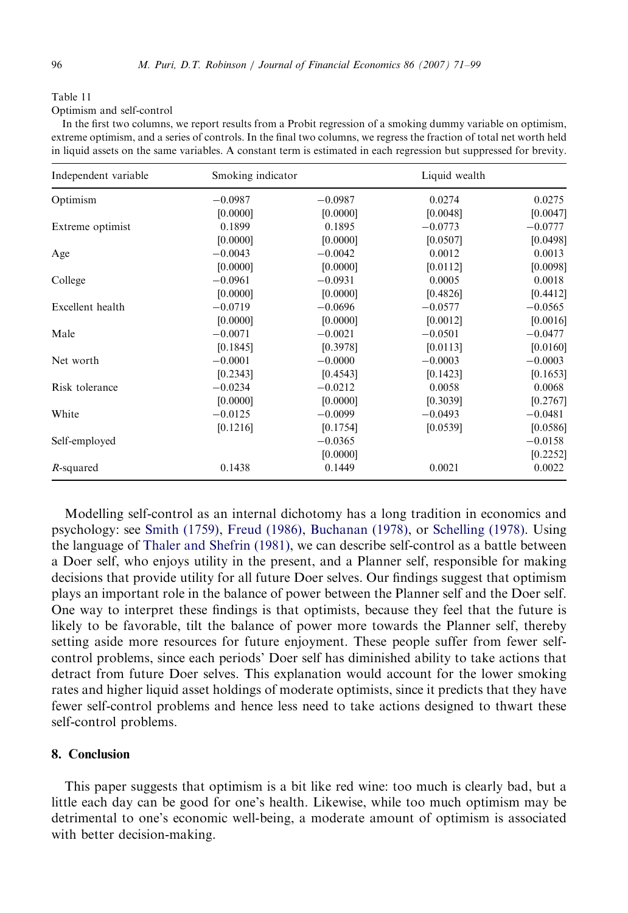<span id="page-25-0"></span>Optimism and self-control

In the first two columns, we report results from a Probit regression of a smoking dummy variable on optimism, extreme optimism, and a series of controls. In the final two columns, we regress the fraction of total net worth held in liquid assets on the same variables. A constant term is estimated in each regression but suppressed for brevity.

| Independent variable | Smoking indicator |           | Liquid wealth |           |
|----------------------|-------------------|-----------|---------------|-----------|
| Optimism             | $-0.0987$         | $-0.0987$ | 0.0274        | 0.0275    |
|                      | [0.0000]          | [0.0000]  | [0.0048]      | [0.0047]  |
| Extreme optimist     | 0.1899            | 0.1895    | $-0.0773$     | $-0.0777$ |
|                      | [0.0000]          | [0.0000]  | [0.0507]      | [0.0498]  |
| Age                  | $-0.0043$         | $-0.0042$ | 0.0012        | 0.0013    |
|                      | [0.0000]          | [0.0000]  | [0.0112]      | [0.0098]  |
| College              | $-0.0961$         | $-0.0931$ | 0.0005        | 0.0018    |
|                      | [0.0000]          | [0.0000]  | [0.4826]      | [0.4412]  |
| Excellent health     | $-0.0719$         | $-0.0696$ | $-0.0577$     | $-0.0565$ |
|                      | [0.0000]          | [0.0000]  | [0.0012]      | [0.0016]  |
| Male                 | $-0.0071$         | $-0.0021$ | $-0.0501$     | $-0.0477$ |
|                      | [0.1845]          | [0.3978]  | [0.0113]      | [0.0160]  |
| Net worth            | $-0.0001$         | $-0.0000$ | $-0.0003$     | $-0.0003$ |
|                      | [0.2343]          | [0.4543]  | [0.1423]      | [0.1653]  |
| Risk tolerance       | $-0.0234$         | $-0.0212$ | 0.0058        | 0.0068    |
|                      | [0.0000]          | [0.0000]  | [0.3039]      | [0.2767]  |
| White                | $-0.0125$         | $-0.0099$ | $-0.0493$     | $-0.0481$ |
|                      | [0.1216]          | [0.1754]  | [0.0539]      | [0.0586]  |
| Self-employed        |                   | $-0.0365$ |               | $-0.0158$ |
|                      |                   | [0.0000]  |               | [0.2252]  |
| R-squared            | 0.1438            | 0.1449    | 0.0021        | 0.0022    |

Modelling self-control as an internal dichotomy has a long tradition in economics and psychology: see [Smith \(1759\)](#page-28-0), [Freud \(1986\)](#page-27-0), [Buchanan \(1978\)](#page-27-0), or [Schelling \(1978\)](#page-27-0). Using the language of [Thaler and Shefrin \(1981\)](#page-28-0), we can describe self-control as a battle between a Doer self, who enjoys utility in the present, and a Planner self, responsible for making decisions that provide utility for all future Doer selves. Our findings suggest that optimism plays an important role in the balance of power between the Planner self and the Doer self. One way to interpret these findings is that optimists, because they feel that the future is likely to be favorable, tilt the balance of power more towards the Planner self, thereby setting aside more resources for future enjoyment. These people suffer from fewer selfcontrol problems, since each periods' Doer self has diminished ability to take actions that detract from future Doer selves. This explanation would account for the lower smoking rates and higher liquid asset holdings of moderate optimists, since it predicts that they have fewer self-control problems and hence less need to take actions designed to thwart these self-control problems.

# 8. Conclusion

This paper suggests that optimism is a bit like red wine: too much is clearly bad, but a little each day can be good for one's health. Likewise, while too much optimism may be detrimental to one's economic well-being, a moderate amount of optimism is associated with better decision-making.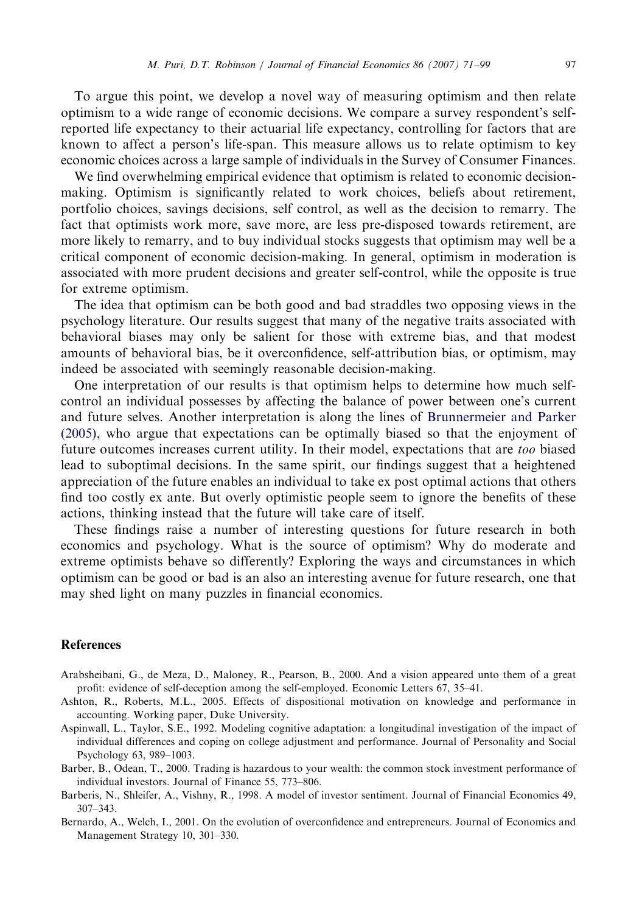<span id="page-26-0"></span>To argue this point, we develop a novel way of measuring optimism and then relate optimism to a wide range of economic decisions. We compare a survey respondent's selfreported life expectancy to their actuarial life expectancy, controlling for factors that are known to affect a person's life-span. This measure allows us to relate optimism to key economic choices across a large sample of individuals in the Survey of Consumer Finances.

We find overwhelming empirical evidence that optimism is related to economic decisionmaking. Optimism is significantly related to work choices, beliefs about retirement, portfolio choices, savings decisions, self control, as well as the decision to remarry. The fact that optimists work more, save more, are less pre-disposed towards retirement, are more likely to remarry, and to buy individual stocks suggests that optimism may well be a critical component of economic decision-making. In general, optimism in moderation is associated with more prudent decisions and greater self-control, while the opposite is true for extreme optimism.

The idea that optimism can be both good and bad straddles two opposing views in the psychology literature. Our results suggest that many of the negative traits associated with behavioral biases may only be salient for those with extreme bias, and that modest amounts of behavioral bias, be it overconfidence, self-attribution bias, or optimism, may indeed be associated with seemingly reasonable decision-making.

One interpretation of our results is that optimism helps to determine how much selfcontrol an individual possesses by affecting the balance of power between one's current and future selves. Another interpretation is along the lines of [Brunnermeier and Parker](#page-27-0) [\(2005\)](#page-27-0), who argue that expectations can be optimally biased so that the enjoyment of future outcomes increases current utility. In their model, expectations that are too biased lead to suboptimal decisions. In the same spirit, our findings suggest that a heightened appreciation of the future enables an individual to take ex post optimal actions that others find too costly ex ante. But overly optimistic people seem to ignore the benefits of these actions, thinking instead that the future will take care of itself.

These findings raise a number of interesting questions for future research in both economics and psychology. What is the source of optimism? Why do moderate and extreme optimists behave so differently? Exploring the ways and circumstances in which optimism can be good or bad is an also an interesting avenue for future research, one that may shed light on many puzzles in financial economics.

## **References**

- Arabsheibani, G., de Meza, D., Maloney, R., Pearson, B., 2000. And a vision appeared unto them of a great profit: evidence of self-deception among the self-employed. Economic Letters 67, 35–41.
- Ashton, R., Roberts, M.L., 2005. Effects of dispositional motivation on knowledge and performance in accounting. Working paper, Duke University.
- Aspinwall, L., Taylor, S.E., 1992. Modeling cognitive adaptation: a longitudinal investigation of the impact of individual differences and coping on college adjustment and performance. Journal of Personality and Social Psychology 63, 989–1003.
- Barber, B., Odean, T., 2000. Trading is hazardous to your wealth: the common stock investment performance of individual investors. Journal of Finance 55, 773–806.
- Barberis, N., Shleifer, A., Vishny, R., 1998. A model of investor sentiment. Journal of Financial Economics 49, 307–343.
- Bernardo, A., Welch, I., 2001. On the evolution of overconfidence and entrepreneurs. Journal of Economics and Management Strategy 10, 301–330.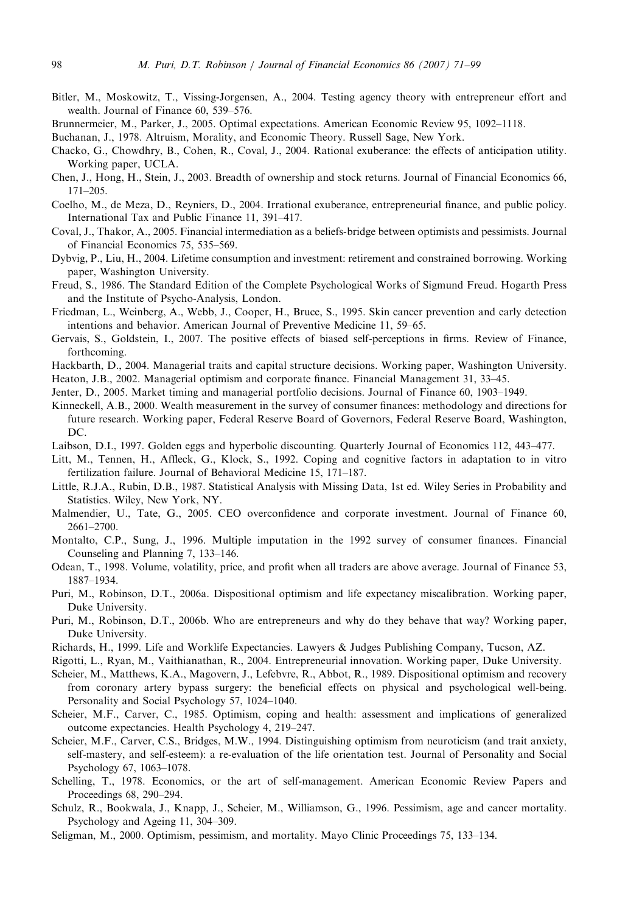- <span id="page-27-0"></span>Bitler, M., Moskowitz, T., Vissing-Jorgensen, A., 2004. Testing agency theory with entrepreneur effort and wealth. Journal of Finance 60, 539–576.
- Brunnermeier, M., Parker, J., 2005. Optimal expectations. American Economic Review 95, 1092–1118.

- Chacko, G., Chowdhry, B., Cohen, R., Coval, J., 2004. Rational exuberance: the effects of anticipation utility. Working paper, UCLA.
- Chen, J., Hong, H., Stein, J., 2003. Breadth of ownership and stock returns. Journal of Financial Economics 66, 171–205.
- Coelho, M., de Meza, D., Reyniers, D., 2004. Irrational exuberance, entrepreneurial finance, and public policy. International Tax and Public Finance 11, 391–417.
- Coval, J., Thakor, A., 2005. Financial intermediation as a beliefs-bridge between optimists and pessimists. Journal of Financial Economics 75, 535–569.
- Dybvig, P., Liu, H., 2004. Lifetime consumption and investment: retirement and constrained borrowing. Working paper, Washington University.
- Freud, S., 1986. The Standard Edition of the Complete Psychological Works of Sigmund Freud. Hogarth Press and the Institute of Psycho-Analysis, London.
- Friedman, L., Weinberg, A., Webb, J., Cooper, H., Bruce, S., 1995. Skin cancer prevention and early detection intentions and behavior. American Journal of Preventive Medicine 11, 59–65.
- Gervais, S., Goldstein, I., 2007. The positive effects of biased self-perceptions in firms. Review of Finance, forthcoming.
- Hackbarth, D., 2004. Managerial traits and capital structure decisions. Working paper, Washington University.
- Heaton, J.B., 2002. Managerial optimism and corporate finance. Financial Management 31, 33–45.
- Jenter, D., 2005. Market timing and managerial portfolio decisions. Journal of Finance 60, 1903–1949.
- Kinneckell, A.B., 2000. Wealth measurement in the survey of consumer finances: methodology and directions for future research. Working paper, Federal Reserve Board of Governors, Federal Reserve Board, Washington, DC.
- Laibson, D.I., 1997. Golden eggs and hyperbolic discounting. Quarterly Journal of Economics 112, 443–477.
- Litt, M., Tennen, H., Affleck, G., Klock, S., 1992. Coping and cognitive factors in adaptation to in vitro fertilization failure. Journal of Behavioral Medicine 15, 171–187.
- Little, R.J.A., Rubin, D.B., 1987. Statistical Analysis with Missing Data, 1st ed. Wiley Series in Probability and Statistics. Wiley, New York, NY.
- Malmendier, U., Tate, G., 2005. CEO overconfidence and corporate investment. Journal of Finance 60, 2661–2700.
- Montalto, C.P., Sung, J., 1996. Multiple imputation in the 1992 survey of consumer finances. Financial Counseling and Planning 7, 133–146.
- Odean, T., 1998. Volume, volatility, price, and profit when all traders are above average. Journal of Finance 53, 1887–1934.
- Puri, M., Robinson, D.T., 2006a. Dispositional optimism and life expectancy miscalibration. Working paper, Duke University.
- Puri, M., Robinson, D.T., 2006b. Who are entrepreneurs and why do they behave that way? Working paper, Duke University.
- Richards, H., 1999. Life and Worklife Expectancies. Lawyers & Judges Publishing Company, Tucson, AZ.
- Rigotti, L., Ryan, M., Vaithianathan, R., 2004. Entrepreneurial innovation. Working paper, Duke University.
- Scheier, M., Matthews, K.A., Magovern, J., Lefebvre, R., Abbot, R., 1989. Dispositional optimism and recovery from coronary artery bypass surgery: the beneficial effects on physical and psychological well-being. Personality and Social Psychology 57, 1024–1040.
- Scheier, M.F., Carver, C., 1985. Optimism, coping and health: assessment and implications of generalized outcome expectancies. Health Psychology 4, 219–247.
- Scheier, M.F., Carver, C.S., Bridges, M.W., 1994. Distinguishing optimism from neuroticism (and trait anxiety, self-mastery, and self-esteem): a re-evaluation of the life orientation test. Journal of Personality and Social Psychology 67, 1063–1078.
- Schelling, T., 1978. Economics, or the art of self-management. American Economic Review Papers and Proceedings 68, 290–294.
- Schulz, R., Bookwala, J., Knapp, J., Scheier, M., Williamson, G., 1996. Pessimism, age and cancer mortality. Psychology and Ageing 11, 304–309.
- Seligman, M., 2000. Optimism, pessimism, and mortality. Mayo Clinic Proceedings 75, 133–134.

Buchanan, J., 1978. Altruism, Morality, and Economic Theory. Russell Sage, New York.